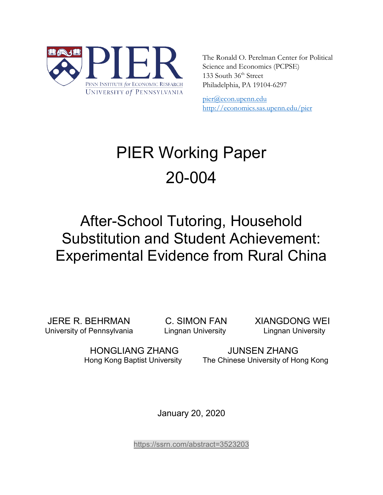

The Ronald O. Perelman Center for Political Science and Economics (PCPSE) 133 South 36<sup>th</sup> Street Philadelphia, PA 19104-6297

pier@econ.upenn.edu <http://economics.sas.upenn.edu/pier>

# PIER Working Paper 20-004

# After-School Tutoring, Household Substitution and Student Achievement: Experimental Evidence from Rural China

JERE R. BEHRMAN C. SIMON FAN XIANGDONG WEI University of Pennsylvania **Lingnan University** Lingnan University

HONGLIANG ZHANG JUNSEN ZHANG Hong Kong Baptist University The Chinese University of Hong Kong

January 20, 2020

<https://ssrn.com/abstract=3523203>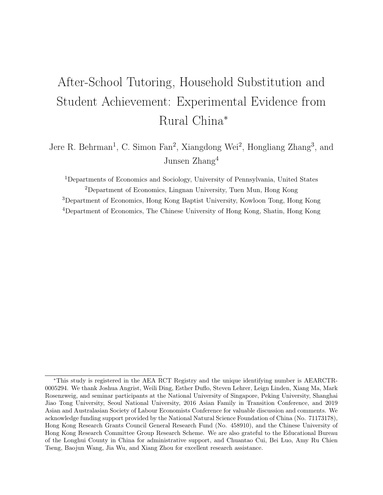# After-School Tutoring, Household Substitution and Student Achievement: Experimental Evidence from Rural China<sup>∗</sup>

Jere R. Behrman<sup>1</sup>, C. Simon Fan<sup>2</sup>, Xiangdong Wei<sup>2</sup>, Hongliang Zhang<sup>3</sup>, and Junsen Zhang<sup>4</sup>

Departments of Economics and Sociology, University of Pennsylvania, United States Department of Economics, Lingnan University, Tuen Mun, Hong Kong Department of Economics, Hong Kong Baptist University, Kowloon Tong, Hong Kong Department of Economics, The Chinese University of Hong Kong, Shatin, Hong Kong

<sup>∗</sup>This study is registered in the AEA RCT Registry and the unique identifying number is AEARCTR-0005294. We thank Joshua Angrist, Weili Ding, Esther Duflo, Steven Lehrer, Leign Linden, Xiang Ma, Mark Rosenzweig, and seminar participants at the National University of Singapore, Peking University, Shanghai Jiao Tong University, Seoul National University, 2016 Asian Family in Transition Conference, and 2019 Asian and Australasian Society of Labour Economists Conference for valuable discussion and comments. We acknowledge funding support provided by the National Natural Science Foundation of China (No. 71173178), Hong Kong Research Grants Council General Research Fund (No. 458910), and the Chinese University of Hong Kong Research Committee Group Research Scheme. We are also grateful to the Educational Bureau of the Longhui County in China for administrative support, and Chuantao Cui, Bei Luo, Amy Ru Chien Tseng, Baojun Wang, Jia Wu, and Xiang Zhou for excellent research assistance.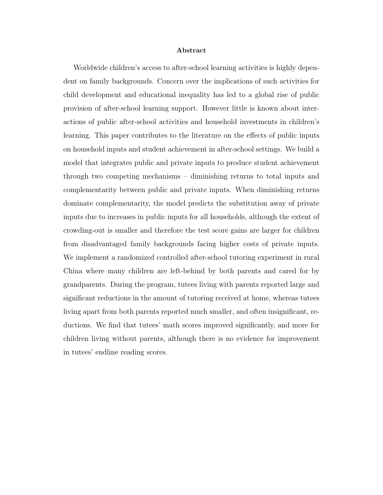#### Abstract

Worldwide children's access to after-school learning activities is highly dependent on family backgrounds. Concern over the implications of such activities for child development and educational inequality has led to a global rise of public provision of after-school learning support. However little is known about interactions of public after-school activities and household investments in children's learning. This paper contributes to the literature on the effects of public inputs on household inputs and student achievement in after-school settings. We build a model that integrates public and private inputs to produce student achievement through two competing mechanisms – diminishing returns to total inputs and complementarity between public and private inputs. When diminishing returns dominate complementarity, the model predicts the substitution away of private inputs due to increases in public inputs for all households, although the extent of crowding-out is smaller and therefore the test score gains are larger for children from disadvantaged family backgrounds facing higher costs of private inputs. We implement a randomized controlled after-school tutoring experiment in rural China where many children are left-behind by both parents and cared for by grandparents. During the program, tutees living with parents reported large and significant reductions in the amount of tutoring received at home, whereas tutees living apart from both parents reported much smaller, and often insignificant, reductions. We find that tutees' math scores improved significantly, and more for children living without parents, although there is no evidence for improvement in tutees' endline reading scores.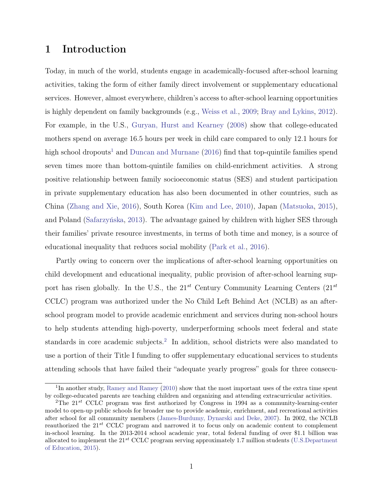# 1 Introduction

Today, in much of the world, students engage in academically-focused after-school learning activities, taking the form of either family direct involvement or supplementary educational services. However, almost everywhere, children's access to after-school learning opportunities is highly dependent on family backgrounds (e.g., [Weiss et al.,](#page-39-0) [2009;](#page-39-0) [Bray and Lykins,](#page-36-0) [2012\)](#page-36-0). For example, in the U.S., [Guryan, Hurst and Kearney](#page-37-0) [\(2008\)](#page-37-0) show that college-educated mothers spend on average 16.5 hours per week in child care compared to only 12.1 hours for high school dropouts<sup>[1](#page-3-0)</sup> and [Duncan and Murnane](#page-37-1) [\(2016\)](#page-37-1) find that top-quintile families spend seven times more than bottom-quintile families on child-enrichment activities. A strong positive relationship between family socioeconomic status (SES) and student participation in private supplementary education has also been documented in other countries, such as China [\(Zhang and Xie,](#page-39-1) [2016\)](#page-39-1), South Korea [\(Kim and Lee,](#page-38-0) [2010\)](#page-38-0), Japan [\(Matsuoka,](#page-38-1) [2015\)](#page-38-1), and Poland [\(Safarzyńska,](#page-38-2) [2013\)](#page-38-2). The advantage gained by children with higher SES through their families' private resource investments, in terms of both time and money, is a source of educational inequality that reduces social mobility [\(Park et al.,](#page-38-3) [2016\)](#page-38-3).

Partly owing to concern over the implications of after-school learning opportunities on child development and educational inequality, public provision of after-school learning support has risen globally. In the U.S., the  $21^{st}$  Century Community Learning Centers  $(21^{st}$ CCLC) program was authorized under the No Child Left Behind Act (NCLB) as an afterschool program model to provide academic enrichment and services during non-school hours to help students attending high-poverty, underperforming schools meet federal and state standards in core academic subjects.<sup>[2](#page-3-1)</sup> In addition, school districts were also mandated to use a portion of their Title I funding to offer supplementary educational services to students attending schools that have failed their "adequate yearly progress" goals for three consecu-

<span id="page-3-0"></span><sup>&</sup>lt;sup>1</sup>In another study, [Ramey and Ramey](#page-38-4) [\(2010\)](#page-38-4) show that the most important uses of the extra time spent by college-educated parents are teaching children and organizing and attending extracurricular activities.

<span id="page-3-1"></span><sup>&</sup>lt;sup>2</sup>The  $21^{st}$  CCLC program was first authorized by Congress in 1994 as a community-learning-center model to open-up public schools for broader use to provide academic, enrichment, and recreational activities after school for all community members [\(James-Burdumy, Dynarski and Deke,](#page-38-5) [2007\)](#page-38-5). In 2002, the NCLB reauthorized the  $21^{st}$  CCLC program and narrowed it to focus only on academic content to complement in-school learning. In the 2013-2014 school academic year, total federal funding of over \$1.1 billion was allocated to implement the  $21^{st}$  CCLC program serving approximately 1.7 million students [\(U.S.Department](#page-39-2) [of Education,](#page-39-2) [2015\)](#page-39-2).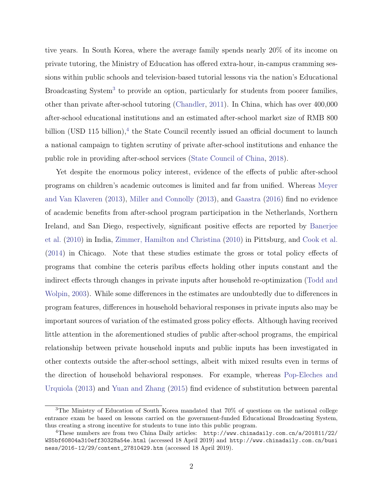tive years. In South Korea, where the average family spends nearly 20% of its income on private tutoring, the Ministry of Education has offered extra-hour, in-campus cramming sessions within public schools and television-based tutorial lessons via the nation's Educational Broadcasting System<sup>[3](#page-4-0)</sup> to provide an option, particularly for students from poorer families, other than private after-school tutoring [\(Chandler,](#page-37-2) [2011\)](#page-37-2). In China, which has over 400,000 after-school educational institutions and an estimated after-school market size of RMB 800 billion (USD 115 billion),<sup>[4](#page-4-1)</sup> the State Council recently issued an official document to launch a national campaign to tighten scrutiny of private after-school institutions and enhance the public role in providing after-school services [\(State Council of China,](#page-39-3) [2018\)](#page-39-3).

Yet despite the enormous policy interest, evidence of the effects of public after-school programs on children's academic outcomes is limited and far from unified. Whereas [Meyer](#page-38-6) [and Van Klaveren](#page-38-6) [\(2013\)](#page-38-6), [Miller and Connolly](#page-38-7) [\(2013\)](#page-38-7), and [Gaastra](#page-37-3) [\(2016\)](#page-37-3) find no evidence of academic benefits from after-school program participation in the Netherlands, Northern Ireland, and San Diego, respectively, significant positive effects are reported by [Banerjee](#page-36-1) [et al.](#page-36-1) [\(2010\)](#page-36-1) in India, [Zimmer, Hamilton and Christina](#page-39-4) [\(2010\)](#page-39-4) in Pittsburg, and [Cook et al.](#page-37-4) [\(2014\)](#page-37-4) in Chicago. Note that these studies estimate the gross or total policy effects of programs that combine the ceteris paribus effects holding other inputs constant and the indirect effects through changes in private inputs after household re-optimization [\(Todd and](#page-39-5) [Wolpin,](#page-39-5) [2003\)](#page-39-5). While some differences in the estimates are undoubtedly due to differences in program features, differences in household behavioral responses in private inputs also may be important sources of variation of the estimated gross policy effects. Although having received little attention in the aforementioned studies of public after-school programs, the empirical relationship between private household inputs and public inputs has been investigated in other contexts outside the after-school settings, albeit with mixed results even in terms of the direction of household behavioral responses. For example, whereas [Pop-Eleches and](#page-38-8) [Urquiola](#page-38-8) [\(2013\)](#page-38-8) and [Yuan and Zhang](#page-39-6) [\(2015\)](#page-39-6) find evidence of substitution between parental

<span id="page-4-0"></span><sup>3</sup>The Ministry of Education of South Korea mandated that 70% of questions on the national college entrance exam be based on lessons carried on the government-funded Educational Broadcasting System, thus creating a strong incentive for students to tune into this public program.

<span id="page-4-1"></span><sup>4</sup>These numbers are from two China Daily articles: [http://www.chinadaily.com.cn/a/201811/22/](http://www.chinadaily.com.cn/a/201811/22/WS5bf60804a310eff30328a54e.html) [WS5bf60804a310eff30328a54e.html](http://www.chinadaily.com.cn/a/201811/22/WS5bf60804a310eff30328a54e.html) (accessed 18 April 2019) and [http://www.chinadaily.com.cn/busi](http://www.chinadaily.com.cn/business/2016-12/29/content_27810429.htm) [ness/2016-12/29/content\\_27810429.htm](http://www.chinadaily.com.cn/business/2016-12/29/content_27810429.htm) (accessed 18 April 2019).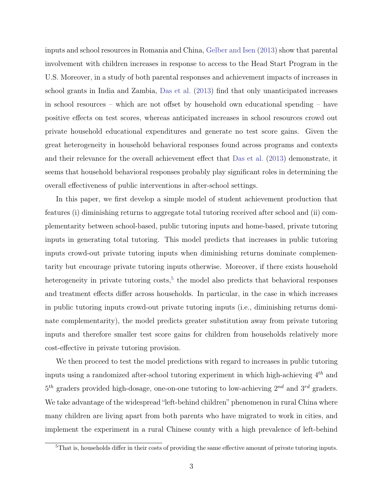inputs and school resources in Romania and China, [Gelber and Isen](#page-37-5) [\(2013\)](#page-37-5) show that parental involvement with children increases in response to access to the Head Start Program in the U.S. Moreover, in a study of both parental responses and achievement impacts of increases in school grants in India and Zambia, [Das et al.](#page-37-6) [\(2013\)](#page-37-6) find that only unanticipated increases in school resources – which are not offset by household own educational spending – have positive effects on test scores, whereas anticipated increases in school resources crowd out private household educational expenditures and generate no test score gains. Given the great heterogeneity in household behavioral responses found across programs and contexts and their relevance for the overall achievement effect that [Das et al.](#page-37-6) [\(2013\)](#page-37-6) demonstrate, it seems that household behavioral responses probably play significant roles in determining the overall effectiveness of public interventions in after-school settings.

In this paper, we first develop a simple model of student achievement production that features (i) diminishing returns to aggregate total tutoring received after school and (ii) complementarity between school-based, public tutoring inputs and home-based, private tutoring inputs in generating total tutoring. This model predicts that increases in public tutoring inputs crowd-out private tutoring inputs when diminishing returns dominate complementarity but encourage private tutoring inputs otherwise. Moreover, if there exists household heterogeneity in private tutoring costs,<sup>[5](#page-5-0)</sup> the model also predicts that behavioral responses and treatment effects differ across households. In particular, in the case in which increases in public tutoring inputs crowd-out private tutoring inputs (i.e., diminishing returns dominate complementarity), the model predicts greater substitution away from private tutoring inputs and therefore smaller test score gains for children from households relatively more cost-effective in private tutoring provision.

We then proceed to test the model predictions with regard to increases in public tutoring inputs using a randomized after-school tutoring experiment in which high-achieving  $4^{th}$  and  $5<sup>th</sup>$  graders provided high-dosage, one-on-one tutoring to low-achieving  $2<sup>nd</sup>$  and  $3<sup>rd</sup>$  graders. We take advantage of the widespread "left-behind children" phenomenon in rural China where many children are living apart from both parents who have migrated to work in cities, and implement the experiment in a rural Chinese county with a high prevalence of left-behind

<span id="page-5-0"></span><sup>&</sup>lt;sup>5</sup>That is, households differ in their costs of providing the same effective amount of private tutoring inputs.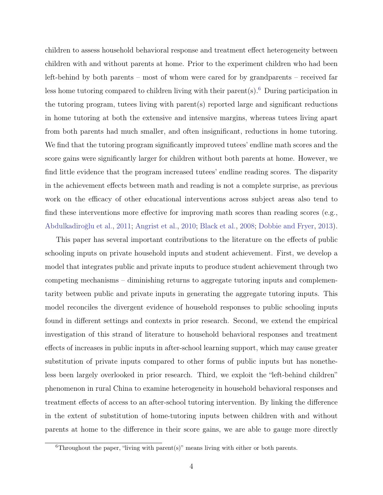children to assess household behavioral response and treatment effect heterogeneity between children with and without parents at home. Prior to the experiment children who had been left-behind by both parents – most of whom were cared for by grandparents – received far less home tutoring compared to children living with their parent(s).[6](#page-6-0) During participation in the tutoring program, tutees living with parent(s) reported large and significant reductions in home tutoring at both the extensive and intensive margins, whereas tutees living apart from both parents had much smaller, and often insignificant, reductions in home tutoring. We find that the tutoring program significantly improved tutees' endline math scores and the score gains were significantly larger for children without both parents at home. However, we find little evidence that the program increased tutees' endline reading scores. The disparity in the achievement effects between math and reading is not a complete surprise, as previous work on the efficacy of other educational interventions across subject areas also tend to find these interventions more effective for improving math scores than reading scores (e.g., [Abdulkadiroğlu et al.,](#page-36-2) [2011;](#page-36-2) [Angrist et al.,](#page-36-3) [2010;](#page-36-3) [Black et al.,](#page-36-4) [2008;](#page-36-4) [Dobbie and Fryer,](#page-37-7) [2013\)](#page-37-7).

This paper has several important contributions to the literature on the effects of public schooling inputs on private household inputs and student achievement. First, we develop a model that integrates public and private inputs to produce student achievement through two competing mechanisms – diminishing returns to aggregate tutoring inputs and complementarity between public and private inputs in generating the aggregate tutoring inputs. This model reconciles the divergent evidence of household responses to public schooling inputs found in different settings and contexts in prior research. Second, we extend the empirical investigation of this strand of literature to household behavioral responses and treatment effects of increases in public inputs in after-school learning support, which may cause greater substitution of private inputs compared to other forms of public inputs but has nonetheless been largely overlooked in prior research. Third, we exploit the "left-behind children" phenomenon in rural China to examine heterogeneity in household behavioral responses and treatment effects of access to an after-school tutoring intervention. By linking the difference in the extent of substitution of home-tutoring inputs between children with and without parents at home to the difference in their score gains, we are able to gauge more directly

<span id="page-6-0"></span><sup>&</sup>lt;sup>6</sup>Throughout the paper, "living with parent(s)" means living with either or both parents.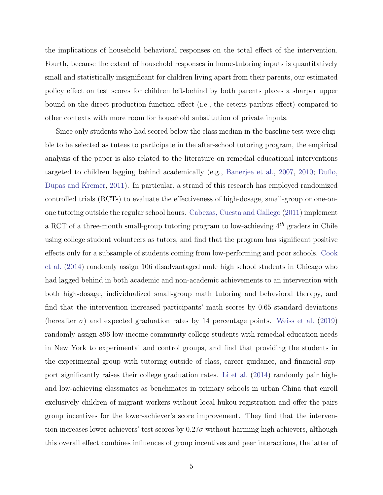the implications of household behavioral responses on the total effect of the intervention. Fourth, because the extent of household responses in home-tutoring inputs is quantitatively small and statistically insignificant for children living apart from their parents, our estimated policy effect on test scores for children left-behind by both parents places a sharper upper bound on the direct production function effect (i.e., the ceteris paribus effect) compared to other contexts with more room for household substitution of private inputs.

Since only students who had scored below the class median in the baseline test were eligible to be selected as tutees to participate in the after-school tutoring program, the empirical analysis of the paper is also related to the literature on remedial educational interventions targeted to children lagging behind academically (e.g., [Banerjee et al.,](#page-36-5) [2007,](#page-36-5) [2010;](#page-36-1) [Duflo,](#page-37-8) [Dupas and Kremer,](#page-37-8) [2011\)](#page-37-8). In particular, a strand of this research has employed randomized controlled trials (RCTs) to evaluate the effectiveness of high-dosage, small-group or one-onone tutoring outside the regular school hours. [Cabezas, Cuesta and Gallego](#page-36-6) [\(2011\)](#page-36-6) implement a RCT of a three-month small-group tutoring program to low-achieving  $4^{th}$  graders in Chile using college student volunteers as tutors, and find that the program has significant positive effects only for a subsample of students coming from low-performing and poor schools. [Cook](#page-37-4) [et al.](#page-37-4) [\(2014\)](#page-37-4) randomly assign 106 disadvantaged male high school students in Chicago who had lagged behind in both academic and non-academic achievements to an intervention with both high-dosage, individualized small-group math tutoring and behavioral therapy, and find that the intervention increased participants' math scores by 0.65 standard deviations (hereafter  $\sigma$ ) and expected graduation rates by 14 percentage points. [Weiss et al.](#page-39-7) [\(2019\)](#page-39-7) randomly assign 896 low-income community college students with remedial education needs in New York to experimental and control groups, and find that providing the students in the experimental group with tutoring outside of class, career guidance, and financial support significantly raises their college graduation rates. [Li et al.](#page-38-9) [\(2014\)](#page-38-9) randomly pair highand low-achieving classmates as benchmates in primary schools in urban China that enroll exclusively children of migrant workers without local hukou registration and offer the pairs group incentives for the lower-achiever's score improvement. They find that the intervention increases lower achievers' test scores by  $0.27\sigma$  without harming high achievers, although this overall effect combines influences of group incentives and peer interactions, the latter of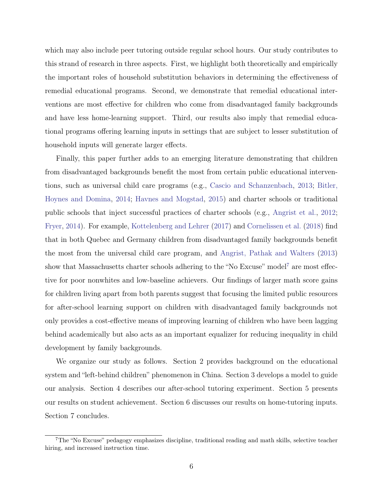which may also include peer tutoring outside regular school hours. Our study contributes to this strand of research in three aspects. First, we highlight both theoretically and empirically the important roles of household substitution behaviors in determining the effectiveness of remedial educational programs. Second, we demonstrate that remedial educational interventions are most effective for children who come from disadvantaged family backgrounds and have less home-learning support. Third, our results also imply that remedial educational programs offering learning inputs in settings that are subject to lesser substitution of household inputs will generate larger effects.

Finally, this paper further adds to an emerging literature demonstrating that children from disadvantaged backgrounds benefit the most from certain public educational interventions, such as universal child care programs (e.g., [Cascio and Schanzenbach,](#page-36-7) [2013;](#page-36-7) [Bitler,](#page-36-8) [Hoynes and Domina,](#page-36-8) [2014;](#page-36-8) [Havnes and Mogstad,](#page-37-9) [2015\)](#page-37-9) and charter schools or traditional public schools that inject successful practices of charter schools (e.g., [Angrist et al.,](#page-36-9) [2012;](#page-36-9) [Fryer,](#page-37-10) [2014\)](#page-37-10). For example, [Kottelenberg and Lehrer](#page-38-10) [\(2017\)](#page-38-10) and [Cornelissen et al.](#page-37-11) [\(2018\)](#page-37-11) find that in both Quebec and Germany children from disadvantaged family backgrounds benefit the most from the universal child care program, and [Angrist, Pathak and Walters](#page-36-10) [\(2013\)](#page-36-10) show that Massachusetts charter schools adhering to the "No Excuse" model<sup>[7](#page-8-0)</sup> are most effective for poor nonwhites and low-baseline achievers. Our findings of larger math score gains for children living apart from both parents suggest that focusing the limited public resources for after-school learning support on children with disadvantaged family backgrounds not only provides a cost-effective means of improving learning of children who have been lagging behind academically but also acts as an important equalizer for reducing inequality in child development by family backgrounds.

We organize our study as follows. Section 2 provides background on the educational system and "left-behind children" phenomenon in China. Section 3 develops a model to guide our analysis. Section 4 describes our after-school tutoring experiment. Section 5 presents our results on student achievement. Section 6 discusses our results on home-tutoring inputs. Section 7 concludes.

<span id="page-8-0"></span><sup>7</sup>The "No Excuse" pedagogy emphasizes discipline, traditional reading and math skills, selective teacher hiring, and increased instruction time.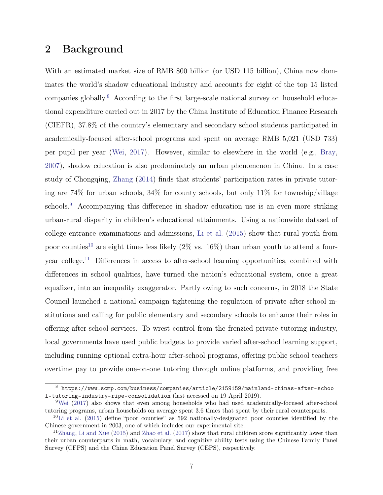# 2 Background

With an estimated market size of RMB 800 billion (or USD 115 billion), China now dominates the world's shadow educational industry and accounts for eight of the top 15 listed companies globally.[8](#page-9-0) According to the first large-scale national survey on household educational expenditure carried out in 2017 by the China Institute of Education Finance Research (CIEFR), 37.8% of the country's elementary and secondary school students participated in academically-focused after-school programs and spent on average RMB 5,021 (USD 733) per pupil per year [\(Wei,](#page-39-8) [2017\)](#page-39-8). However, similar to elsewhere in the world (e.g., [Bray,](#page-36-11) [2007\)](#page-36-11), shadow education is also predominately an urban phenomenon in China. In a case study of Chongqing, [Zhang](#page-39-9) [\(2014\)](#page-39-9) finds that students' participation rates in private tutoring are  $74\%$  for urban schools,  $34\%$  for county schools, but only  $11\%$  for township/village schools.<sup>[9](#page-9-1)</sup> Accompanying this difference in shadow education use is an even more striking urban-rural disparity in children's educational attainments. Using a nationwide dataset of college entrance examinations and admissions, [Li et al.](#page-38-11) [\(2015\)](#page-38-11) show that rural youth from poor counties<sup>[10](#page-9-2)</sup> are eight times less likely  $(2\% \text{ vs. } 16\%)$  than urban youth to attend a fouryear college.[11](#page-9-3) Differences in access to after-school learning opportunities, combined with differences in school qualities, have turned the nation's educational system, once a great equalizer, into an inequality exaggerator. Partly owing to such concerns, in 2018 the State Council launched a national campaign tightening the regulation of private after-school institutions and calling for public elementary and secondary schools to enhance their roles in offering after-school services. To wrest control from the frenzied private tutoring industry, local governments have used public budgets to provide varied after-school learning support, including running optional extra-hour after-school programs, offering public school teachers overtime pay to provide one-on-one tutoring through online platforms, and providing free

<span id="page-9-0"></span><sup>8</sup> [https://www.scmp.com/business/companies/article/2159159/mainland-chinas-after-schoo](https://www.scmp.com/business/companies/article/2159159/mainland-chinas-after-school-tutoring-industry-ripe-consolidation) [l-tutoring-industry-ripe-consolidation](https://www.scmp.com/business/companies/article/2159159/mainland-chinas-after-school-tutoring-industry-ripe-consolidation) (last accessed on 19 April 2019).

<span id="page-9-1"></span><sup>&</sup>lt;sup>9</sup>[Wei](#page-39-8) [\(2017\)](#page-39-8) also shows that even among households who had used academically-focused after-school tutoring programs, urban households on average spent 3.6 times that spent by their rural counterparts.

<span id="page-9-2"></span><sup>10</sup>[Li et al.](#page-38-11) [\(2015\)](#page-38-11) define "poor counties" as 592 nationally-designated poor counties identified by the Chinese government in 2003, one of which includes our experimental site.

<span id="page-9-3"></span><sup>11</sup>[Zhang, Li and Xue](#page-39-10) [\(2015\)](#page-39-10) and [Zhao et al.](#page-39-11) [\(2017\)](#page-39-11) show that rural children score significantly lower than their urban counterparts in math, vocabulary, and cognitive ability tests using the Chinese Family Panel Survey (CFPS) and the China Education Panel Survey (CEPS), respectively.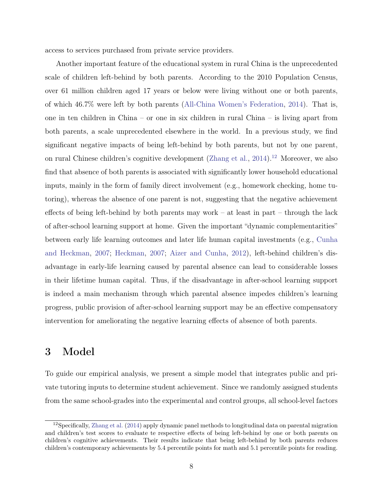access to services purchased from private service providers.

Another important feature of the educational system in rural China is the unprecedented scale of children left-behind by both parents. According to the 2010 Population Census, over 61 million children aged 17 years or below were living without one or both parents, of which 46.7% were left by both parents [\(All-China Women's Federation,](#page-36-12) [2014\)](#page-36-12). That is, one in ten children in China – or one in six children in rural China – is living apart from both parents, a scale unprecedented elsewhere in the world. In a previous study, we find significant negative impacts of being left-behind by both parents, but not by one parent, on rural Chinese children's cognitive development [\(Zhang et al.,](#page-39-12) [2014\)](#page-39-12).<sup>[12](#page-10-0)</sup> Moreover, we also find that absence of both parents is associated with significantly lower household educational inputs, mainly in the form of family direct involvement (e.g., homework checking, home tutoring), whereas the absence of one parent is not, suggesting that the negative achievement effects of being left-behind by both parents may work – at least in part – through the lack of after-school learning support at home. Given the important "dynamic complementarities" between early life learning outcomes and later life human capital investments (e.g., [Cunha](#page-37-12) [and Heckman,](#page-37-12) [2007;](#page-37-12) [Heckman,](#page-37-13) [2007;](#page-37-13) [Aizer and Cunha,](#page-36-13) [2012\)](#page-36-13), left-behind children's disadvantage in early-life learning caused by parental absence can lead to considerable losses in their lifetime human capital. Thus, if the disadvantage in after-school learning support is indeed a main mechanism through which parental absence impedes children's learning progress, public provision of after-school learning support may be an effective compensatory intervention for ameliorating the negative learning effects of absence of both parents.

## 3 Model

To guide our empirical analysis, we present a simple model that integrates public and private tutoring inputs to determine student achievement. Since we randomly assigned students from the same school-grades into the experimental and control groups, all school-level factors

<span id="page-10-0"></span> $12$ Specifically, [Zhang et al.](#page-39-12) [\(2014\)](#page-39-12) apply dynamic panel methods to longitudinal data on parental migration and children's test scores to evaluate te respective effects of being left-behind by one or both parents on children's cognitive achievements. Their results indicate that being left-behind by both parents reduces children's contemporary achievements by 5.4 percentile points for math and 5.1 percentile points for reading.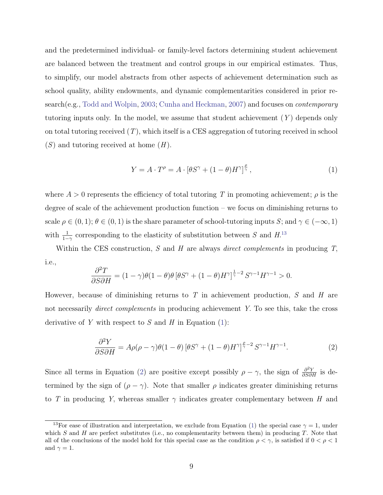and the predetermined individual- or family-level factors determining student achievement are balanced between the treatment and control groups in our empirical estimates. Thus, to simplify, our model abstracts from other aspects of achievement determination such as school quality, ability endowments, and dynamic complementarities considered in prior re-search(e.g., [Todd and Wolpin,](#page-39-5) [2003;](#page-39-5) [Cunha and Heckman,](#page-37-12) [2007\)](#page-37-12) and focuses on *contemporary* tutoring inputs only. In the model, we assume that student achievement  $(Y)$  depends only on total tutoring received  $(T)$ , which itself is a CES aggregation of tutoring received in school  $(S)$  and tutoring received at home  $(H)$ .

<span id="page-11-1"></span>
$$
Y = A \cdot T^{\rho} = A \cdot [\theta S^{\gamma} + (1 - \theta) H^{\gamma}]^{\frac{\rho}{\gamma}}, \tag{1}
$$

where  $A > 0$  represents the efficiency of total tutoring T in promoting achievement;  $\rho$  is the degree of scale of the achievement production function – we focus on diminishing returns to scale  $\rho \in (0,1); \theta \in (0,1)$  is the share parameter of school-tutoring inputs S; and  $\gamma \in (-\infty,1)$ with  $\frac{1}{1-\gamma}$  corresponding to the elasticity of substitution between S and  $H^{13}$  $H^{13}$  $H^{13}$ 

Within the CES construction, S and H are always direct complements in producing  $T$ , i.e.,

$$
\frac{\partial^2 T}{\partial S \partial H} = (1 - \gamma)\theta (1 - \theta)\theta \left[ \theta S^{\gamma} + (1 - \theta)H^{\gamma} \right]^{\frac{1}{\gamma} - 2} S^{\gamma - 1} H^{\gamma - 1} > 0.
$$

However, because of diminishing returns to  $T$  in achievement production,  $S$  and  $H$  are not necessarily *direct complements* in producing achievement Y. To see this, take the cross derivative of Y with respect to S and H in Equation  $(1)$ :

<span id="page-11-2"></span>
$$
\frac{\partial^2 Y}{\partial S \partial H} = A\rho(\rho - \gamma)\theta(1 - \theta)\left[\theta S^{\gamma} + (1 - \theta)H^{\gamma}\right]^{\frac{\rho}{\gamma} - 2}S^{\gamma - 1}H^{\gamma - 1}.
$$
\n(2)

Since all terms in Equation [\(2\)](#page-11-2) are positive except possibly  $\rho - \gamma$ , the sign of  $\frac{\partial^2 Y}{\partial S \partial H}$  is determined by the sign of  $(\rho - \gamma)$ . Note that smaller  $\rho$  indicates greater diminishing returns to T in producing Y, whereas smaller  $\gamma$  indicates greater complementary between H and

<span id="page-11-0"></span><sup>&</sup>lt;sup>13</sup>For ease of illustration and interpretation, we exclude from Equation [\(1\)](#page-11-1) the special case  $\gamma = 1$ , under which S and H are perfect substitutes (i.e., no complementarity between them) in producing  $T$ . Note that all of the conclusions of the model hold for this special case as the condition  $\rho < \gamma$ , is satisfied if  $0 < \rho < 1$ and  $\gamma = 1$ .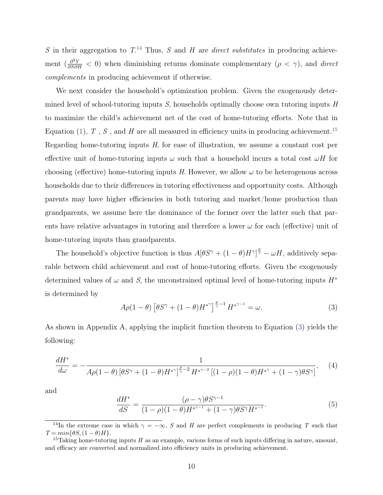S in their aggregation to  $T^{14}$  $T^{14}$  $T^{14}$ . Thus, S and H are *direct substitutes* in producing achievement  $\left(\frac{\partial^2 Y}{\partial S \partial H} < 0\right)$  when diminishing returns dominate complementary  $(\rho < \gamma)$ , and direct complements in producing achievement if otherwise.

We next consider the household's optimization problem. Given the exogenously determined level of school-tutoring inputs  $S$ , households optimally choose own tutoring inputs  $H$ to maximize the child's achievement net of the cost of home-tutoring efforts. Note that in Equation [\(1\)](#page-11-1),  $T$ ,  $S$ , and  $H$  are all measured in efficiency units in producing achievement.<sup>[15](#page-12-1)</sup> Regarding home-tutoring inputs H, for ease of illustration, we assume a constant cost per effective unit of home-tutoring inputs  $\omega$  such that a household incurs a total cost  $\omega H$  for choosing (effective) home-tutoring inputs H. However, we allow  $\omega$  to be heterogenous across households due to their differences in tutoring effectiveness and opportunity costs. Although parents may have higher efficiencies in both tutoring and market/home production than grandparents, we assume here the dominance of the former over the latter such that parents have relative advantages in tutoring and therefore a lower  $\omega$  for each (effective) unit of home-tutoring inputs than grandparents.

The household's objective function is thus  $A[\theta S^{\gamma} + (1-\theta)H^{\gamma}]^{\frac{\rho}{\gamma}} - \omega H$ , additively separable between child achievement and cost of home-tutoring efforts. Given the exogenously determined values of  $\omega$  and S, the unconstrained optimal level of home-tutoring inputs  $H^*$ is determined by

<span id="page-12-2"></span>
$$
A\rho(1-\theta)\left[\theta S^{\gamma} + (1-\theta)H^{*\gamma}\right]^{\frac{\rho}{\gamma}-1}H^{*\gamma-1} = \omega.
$$
\n(3)

As shown in Appendix A, applying the implicit function theorem to Equation [\(3\)](#page-12-2) yields the following:

<span id="page-12-3"></span>
$$
\frac{dH^*}{d\omega} = -\frac{1}{A\rho(1-\theta)\left[\theta S^\gamma + (1-\theta)H^{*\gamma}\right]^{\frac{\rho}{\gamma}-2}H^{*\gamma-2}\left[(1-\rho)(1-\theta)H^{*\gamma} + (1-\gamma)\theta S^\gamma\right]},\tag{4}
$$

and

<span id="page-12-4"></span>
$$
\frac{dH^*}{dS} = \frac{(\rho - \gamma)\theta S^{\gamma - 1}}{(1 - \rho)(1 - \theta)H^{*\gamma - 1} + (1 - \gamma)\theta S^{\gamma}H^{*\gamma - 1}}.
$$
\n(5)

<span id="page-12-0"></span><sup>&</sup>lt;sup>14</sup>In the extreme case in which  $\gamma = -\infty$ , S and H are perfect complements in producing T such that  $T = min\{\theta S, (1 - \theta)H\}.$ 

<span id="page-12-1"></span><sup>&</sup>lt;sup>15</sup>Taking home-tutoring inputs H as an example, various forms of such inputs differing in nature, amount, and efficacy are converted and normalized into efficiency units in producing achievement.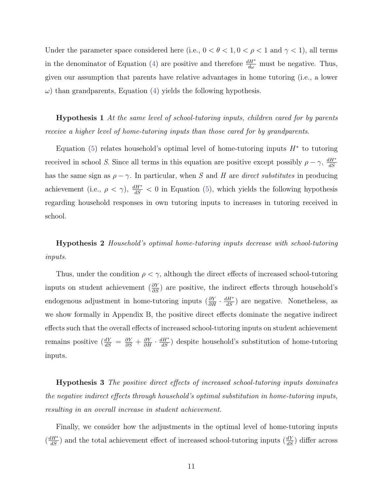Under the parameter space considered here (i.e.,  $0 < \theta < 1, 0 < \rho < 1$  and  $\gamma < 1$ ), all terms in the denominator of Equation [\(4\)](#page-12-3) are positive and therefore  $\frac{dH^*}{d\omega}$  must be negative. Thus, given our assumption that parents have relative advantages in home tutoring (i.e., a lower  $\omega$ ) than grandparents, Equation [\(4\)](#page-12-3) yields the following hypothesis.

Hypothesis 1 At the same level of school-tutoring inputs, children cared for by parents receive a higher level of home-tutoring inputs than those cared for by grandparents.

Equation [\(5\)](#page-12-4) relates household's optimal level of home-tutoring inputs  $H^*$  to tutoring received in school S. Since all terms in this equation are positive except possibly  $\rho - \gamma$ ,  $\frac{dH^*}{dS}$  $dS$ has the same sign as  $\rho - \gamma$ . In particular, when S and H are *direct substitutes* in producing achievement (i.e.,  $\rho < \gamma$ ),  $\frac{dH^*}{dS} < 0$  in Equation [\(5\)](#page-12-4), which yields the following hypothesis regarding household responses in own tutoring inputs to increases in tutoring received in school.

Hypothesis 2 Household's optimal home-tutoring inputs decrease with school-tutoring inputs.

Thus, under the condition  $\rho < \gamma$ , although the direct effects of increased school-tutoring inputs on student achievement  $(\frac{\partial Y}{\partial S})$  are positive, the indirect effects through household's endogenous adjustment in home-tutoring inputs  $(\frac{\partial Y}{\partial H} \cdot \frac{dH^*}{dS})$  are negative. Nonetheless, as we show formally in Appendix B, the positive direct effects dominate the negative indirect effects such that the overall effects of increased school-tutoring inputs on student achievement remains positive  $\left(\frac{dY}{dS} = \frac{\partial Y}{\partial S} + \frac{\partial Y}{\partial H} \cdot \frac{dH^*}{dS}\right)$  despite household's substitution of home-tutoring inputs.

Hypothesis 3 The positive direct effects of increased school-tutoring inputs dominates the negative indirect effects through household's optimal substitution in home-tutoring inputs, resulting in an overall increase in student achievement.

Finally, we consider how the adjustments in the optimal level of home-tutoring inputs  $\left(\frac{dH^*}{dS}\right)$  and the total achievement effect of increased school-tutoring inputs  $\left(\frac{dY}{dS}\right)$  differ across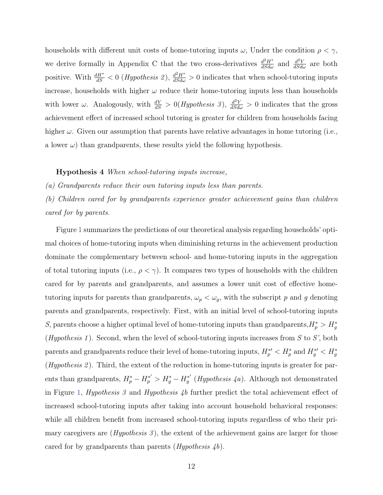households with different unit costs of home-tutoring inputs  $\omega$ , Under the condition  $\rho < \gamma$ , we derive formally in Appendix C that the two cross-derivatives  $\frac{d^2H^*}{dSd\omega}$  and  $\frac{d^2Y}{dSd\omega}$  are both positive. With  $\frac{dH^*}{dS} < 0$  (*Hypothesis 2*),  $\frac{d^2H^*}{dS d\omega} > 0$  indicates that when school-tutoring inputs increase, households with higher  $\omega$  reduce their home-tutoring inputs less than households with lower  $\omega$ . Analogously, with  $\frac{dY}{dS} > 0$  (*Hypothesis 3*),  $\frac{d^2Y}{dS d\omega} > 0$  indicates that the gross achievement effect of increased school tutoring is greater for children from households facing higher  $\omega$ . Given our assumption that parents have relative advantages in home tutoring (i.e., a lower  $\omega$ ) than grandparents, these results yield the following hypothesis.

Hypothesis 4 When school-tutoring inputs increase,

(a) Grandparents reduce their own tutoring inputs less than parents.

(b) Children cared for by grandparents experience greater achievement gains than children cared for by parents.

Figure [1](#page-40-0) summarizes the predictions of our theoretical analysis regarding households' optimal choices of home-tutoring inputs when diminishing returns in the achievement production dominate the complementary between school- and home-tutoring inputs in the aggregation of total tutoring inputs (i.e.,  $\rho < \gamma$ ). It compares two types of households with the children cared for by parents and grandparents, and assumes a lower unit cost of effective hometutoring inputs for parents than grandparents,  $\omega_p < \omega_g$ , with the subscript p and g denoting parents and grandparents, respectively. First, with an initial level of school-tutoring inputs S, parents choose a higher optimal level of home-tutoring inputs than grandparents,  $H_p^* > H_g^*$ (Hypothesis 1). Second, when the level of school-tutoring inputs increases from S to S', both parents and grandparents reduce their level of home-tutoring inputs,  $H_p^{*\prime} < H_p^*$  and  $H_g^{*\prime} < H_g^*$ (*Hypothesis 2*). Third, the extent of the reduction in home-tutoring inputs is greater for parents than grandparents,  $H_p^* - H_p^{*'} > H_g^* - H_g^{*'}$  $g'_{g}$ <sup>\*</sup> (*Hypothesis 4a*). Although not demonstrated in Figure [1,](#page-40-0) *Hypothesis 3* and *Hypothesis 4b* further predict the total achievement effect of increased school-tutoring inputs after taking into account household behavioral responses: while all children benefit from increased school-tutoring inputs regardless of who their primary caregivers are  $(Hypothesis 3)$ , the extent of the achievement gains are larger for those cared for by grandparents than parents  $(Hypothesis \nightharpoondown h)$ .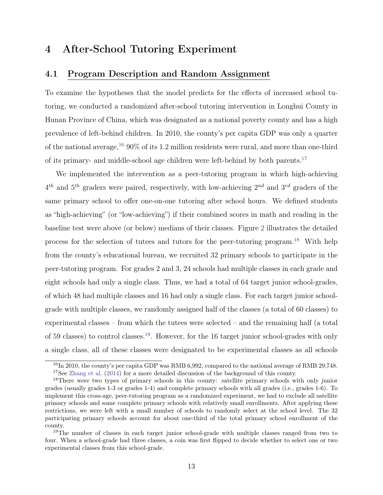# 4 After-School Tutoring Experiment

### 4.1 Program Description and Random Assignment

To examine the hypotheses that the model predicts for the effects of increased school tutoring, we conducted a randomized after-school tutoring intervention in Longhui County in Hunan Province of China, which was designated as a national poverty county and has a high prevalence of left-behind children. In 2010, the county's per capita GDP was only a quarter of the national average,  $1690\%$  $1690\%$  of its 1.2 million residents were rural, and more than one-third of its primary- and middle-school age children were left-behind by both parents.[17](#page-15-1)

We implemented the intervention as a peer-tutoring program in which high-achieving  $4^{th}$  and  $5^{th}$  graders were paired, respectively, with low-achieving  $2^{nd}$  and  $3^{rd}$  graders of the same primary school to offer one-on-one tutoring after school hours. We defined students as "high-achieving" (or "low-achieving") if their combined scores in math and reading in the baseline test were above (or below) medians of their classes. Figure [2](#page-41-0) illustrates the detailed process for the selection of tutees and tutors for the peer-tutoring program.[18](#page-15-2) With help from the county's educational bureau, we recruited 32 primary schools to participate in the peer-tutoring program. For grades 2 and 3, 24 schools had multiple classes in each grade and eight schools had only a single class. Thus, we had a total of 64 target junior school-grades, of which 48 had multiple classes and 16 had only a single class. For each target junior schoolgrade with multiple classes, we randomly assigned half of the classes (a total of 60 classes) to experimental classes – from which the tutees were selected – and the remaining half (a total of 59 classes) to control classes.[19](#page-15-3). However, for the 16 target junior school-grades with only a single class, all of these classes were designated to be experimental classes as all schools

<span id="page-15-1"></span><span id="page-15-0"></span><sup>&</sup>lt;sup>16</sup>In 2010, the county's per capita GDP was RMB 6,992, compared to the national average of RMB 29,748. <sup>17</sup>See [Zhang et al.](#page-39-12) [\(2014\)](#page-39-12) for a more detailed discussion of the background of this county.

<span id="page-15-2"></span><sup>&</sup>lt;sup>18</sup>There were two types of primary schools in this county: satellite primary schools with only junior grades (usually grades 1-3 or grades 1-4) and complete primary schools with all grades (i.e., grades 1-6). To implement this cross-age, peer-tutoring program as a randomized experiment, we had to exclude all satellite primary schools and some complete primary schools with relatively small enrollments. After applying these restrictions, we were left with a small number of schools to randomly select at the school level. The 32 participating primary schools account for about one-third of the total primary school enrollment of the county.

<span id="page-15-3"></span><sup>&</sup>lt;sup>19</sup>The number of classes in each target junior school-grade with multiple classes ranged from two to four. When a school-grade had three classes, a coin was first flipped to decide whether to select one or two experimental classes from this school-grade.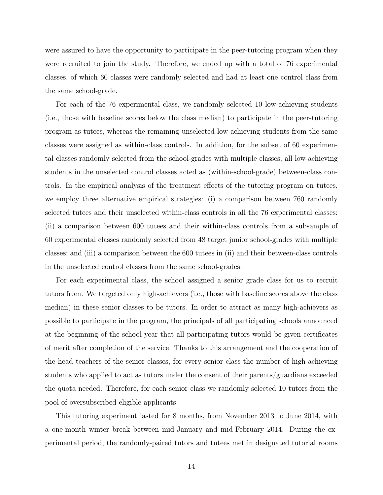were assured to have the opportunity to participate in the peer-tutoring program when they were recruited to join the study. Therefore, we ended up with a total of 76 experimental classes, of which 60 classes were randomly selected and had at least one control class from the same school-grade.

For each of the 76 experimental class, we randomly selected 10 low-achieving students (i.e., those with baseline scores below the class median) to participate in the peer-tutoring program as tutees, whereas the remaining unselected low-achieving students from the same classes were assigned as within-class controls. In addition, for the subset of 60 experimental classes randomly selected from the school-grades with multiple classes, all low-achieving students in the unselected control classes acted as (within-school-grade) between-class controls. In the empirical analysis of the treatment effects of the tutoring program on tutees, we employ three alternative empirical strategies: (i) a comparison between 760 randomly selected tutees and their unselected within-class controls in all the 76 experimental classes; (ii) a comparison between 600 tutees and their within-class controls from a subsample of 60 experimental classes randomly selected from 48 target junior school-grades with multiple classes; and (iii) a comparison between the 600 tutees in (ii) and their between-class controls in the unselected control classes from the same school-grades.

For each experimental class, the school assigned a senior grade class for us to recruit tutors from. We targeted only high-achievers (i.e., those with baseline scores above the class median) in these senior classes to be tutors. In order to attract as many high-achievers as possible to participate in the program, the principals of all participating schools announced at the beginning of the school year that all participating tutors would be given certificates of merit after completion of the service. Thanks to this arrangement and the cooperation of the head teachers of the senior classes, for every senior class the number of high-achieving students who applied to act as tutors under the consent of their parents/guardians exceeded the quota needed. Therefore, for each senior class we randomly selected 10 tutors from the pool of oversubscribed eligible applicants.

This tutoring experiment lasted for 8 months, from November 2013 to June 2014, with a one-month winter break between mid-January and mid-February 2014. During the experimental period, the randomly-paired tutors and tutees met in designated tutorial rooms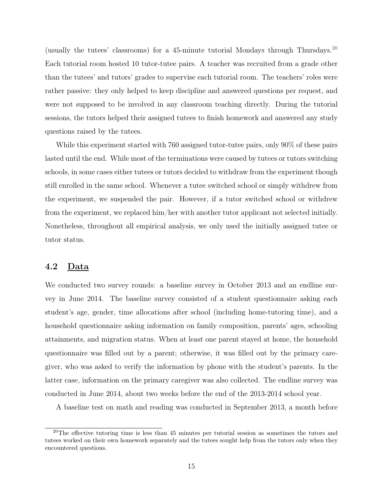(usually the tutees' classrooms) for a 45-minute tutorial Mondays through Thursdays.<sup>[20](#page-17-0)</sup> Each tutorial room hosted 10 tutor-tutee pairs. A teacher was recruited from a grade other than the tutees' and tutors' grades to supervise each tutorial room. The teachers' roles were rather passive: they only helped to keep discipline and answered questions per request, and were not supposed to be involved in any classroom teaching directly. During the tutorial sessions, the tutors helped their assigned tutees to finish homework and answered any study questions raised by the tutees.

While this experiment started with 760 assigned tutor-tutee pairs, only 90% of these pairs lasted until the end. While most of the terminations were caused by tutees or tutors switching schools, in some cases either tutees or tutors decided to withdraw from the experiment though still enrolled in the same school. Whenever a tutee switched school or simply withdrew from the experiment, we suspended the pair. However, if a tutor switched school or withdrew from the experiment, we replaced him/her with another tutor applicant not selected initially. Nonetheless, throughout all empirical analysis, we only used the initially assigned tutee or tutor status.

### 4.2 Data

We conducted two survey rounds: a baseline survey in October 2013 and an endline survey in June 2014. The baseline survey consisted of a student questionnaire asking each student's age, gender, time allocations after school (including home-tutoring time), and a household questionnaire asking information on family composition, parents' ages, schooling attainments, and migration status. When at least one parent stayed at home, the household questionnaire was filled out by a parent; otherwise, it was filled out by the primary caregiver, who was asked to verify the information by phone with the student's parents. In the latter case, information on the primary caregiver was also collected. The endline survey was conducted in June 2014, about two weeks before the end of the 2013-2014 school year.

A baseline test on math and reading was conducted in September 2013, a month before

<span id="page-17-0"></span> $20$ The effective tutoring time is less than 45 minutes per tutorial session as sometimes the tutors and tutees worked on their own homework separately and the tutees sought help from the tutors only when they encountered questions.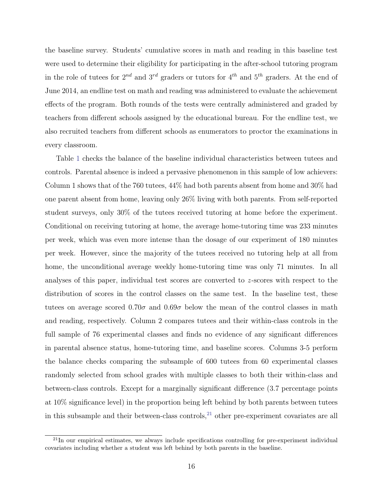the baseline survey. Students' cumulative scores in math and reading in this baseline test were used to determine their eligibility for participating in the after-school tutoring program in the role of tutees for  $2^{nd}$  and  $3^{rd}$  graders or tutors for  $4^{th}$  and  $5^{th}$  graders. At the end of June 2014, an endline test on math and reading was administered to evaluate the achievement effects of the program. Both rounds of the tests were centrally administered and graded by teachers from different schools assigned by the educational bureau. For the endline test, we also recruited teachers from different schools as enumerators to proctor the examinations in every classroom.

Table [1](#page-42-0) checks the balance of the baseline individual characteristics between tutees and controls. Parental absence is indeed a pervasive phenomenon in this sample of low achievers: Column 1 shows that of the 760 tutees, 44% had both parents absent from home and 30% had one parent absent from home, leaving only 26% living with both parents. From self-reported student surveys, only 30% of the tutees received tutoring at home before the experiment. Conditional on receiving tutoring at home, the average home-tutoring time was 233 minutes per week, which was even more intense than the dosage of our experiment of 180 minutes per week. However, since the majority of the tutees received no tutoring help at all from home, the unconditional average weekly home-tutoring time was only 71 minutes. In all analyses of this paper, individual test scores are converted to  $z$ -scores with respect to the distribution of scores in the control classes on the same test. In the baseline test, these tutees on average scored 0.70 $\sigma$  and 0.69 $\sigma$  below the mean of the control classes in math and reading, respectively. Column 2 compares tutees and their within-class controls in the full sample of 76 experimental classes and finds no evidence of any significant differences in parental absence status, home-tutoring time, and baseline scores. Columns 3-5 perform the balance checks comparing the subsample of 600 tutees from 60 experimental classes randomly selected from school grades with multiple classes to both their within-class and between-class controls. Except for a marginally significant difference (3.7 percentage points at 10% significance level) in the proportion being left behind by both parents between tutees in this subsample and their between-class controls, $^{21}$  $^{21}$  $^{21}$  other pre-experiment covariates are all

<span id="page-18-0"></span> $^{21}$ In our empirical estimates, we always include specifications controlling for pre-experiment individual covariates including whether a student was left behind by both parents in the baseline.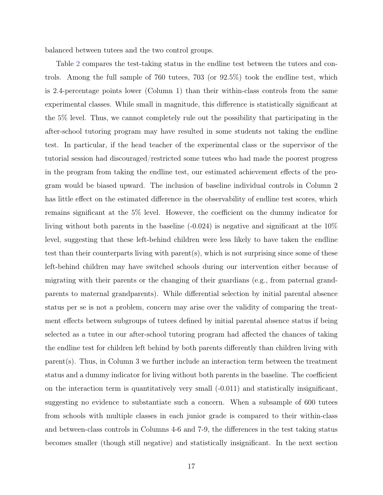balanced between tutees and the two control groups.

Table [2](#page-43-0) compares the test-taking status in the endline test between the tutees and controls. Among the full sample of 760 tutees, 703 (or 92.5%) took the endline test, which is 2.4-percentage points lower (Column 1) than their within-class controls from the same experimental classes. While small in magnitude, this difference is statistically significant at the 5% level. Thus, we cannot completely rule out the possibility that participating in the after-school tutoring program may have resulted in some students not taking the endline test. In particular, if the head teacher of the experimental class or the supervisor of the tutorial session had discouraged/restricted some tutees who had made the poorest progress in the program from taking the endline test, our estimated achievement effects of the program would be biased upward. The inclusion of baseline individual controls in Column 2 has little effect on the estimated difference in the observability of endline test scores, which remains significant at the 5% level. However, the coefficient on the dummy indicator for living without both parents in the baseline (-0.024) is negative and significant at the 10% level, suggesting that these left-behind children were less likely to have taken the endline test than their counterparts living with parent(s), which is not surprising since some of these left-behind children may have switched schools during our intervention either because of migrating with their parents or the changing of their guardians (e.g., from paternal grandparents to maternal grandparents). While differential selection by initial parental absence status per se is not a problem, concern may arise over the validity of comparing the treatment effects between subgroups of tutees defined by initial parental absence status if being selected as a tutee in our after-school tutoring program had affected the chances of taking the endline test for children left behind by both parents differently than children living with parent(s). Thus, in Column 3 we further include an interaction term between the treatment status and a dummy indicator for living without both parents in the baseline. The coefficient on the interaction term is quantitatively very small (-0.011) and statistically insignificant, suggesting no evidence to substantiate such a concern. When a subsample of 600 tutees from schools with multiple classes in each junior grade is compared to their within-class and between-class controls in Columns 4-6 and 7-9, the differences in the test taking status becomes smaller (though still negative) and statistically insignificant. In the next section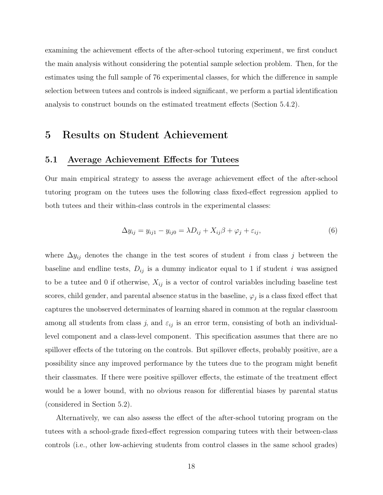examining the achievement effects of the after-school tutoring experiment, we first conduct the main analysis without considering the potential sample selection problem. Then, for the estimates using the full sample of 76 experimental classes, for which the difference in sample selection between tutees and controls is indeed significant, we perform a partial identification analysis to construct bounds on the estimated treatment effects (Section 5.4.2).

# 5 Results on Student Achievement

### 5.1 Average Achievement Effects for Tutees

Our main empirical strategy to assess the average achievement effect of the after-school tutoring program on the tutees uses the following class fixed-effect regression applied to both tutees and their within-class controls in the experimental classes:

<span id="page-20-0"></span>
$$
\Delta y_{ij} = y_{ij1} - y_{ij0} = \lambda D_{ij} + X_{ij}\beta + \varphi_j + \varepsilon_{ij},\tag{6}
$$

where  $\Delta y_{ij}$  denotes the change in the test scores of student i from class j between the baseline and endline tests,  $D_{ij}$  is a dummy indicator equal to 1 if student i was assigned to be a tutee and 0 if otherwise,  $X_{ij}$  is a vector of control variables including baseline test scores, child gender, and parental absence status in the baseline,  $\varphi_j$  is a class fixed effect that captures the unobserved determinates of learning shared in common at the regular classroom among all students from class j, and  $\varepsilon_{ij}$  is an error term, consisting of both an individuallevel component and a class-level component. This specification assumes that there are no spillover effects of the tutoring on the controls. But spillover effects, probably positive, are a possibility since any improved performance by the tutees due to the program might benefit their classmates. If there were positive spillover effects, the estimate of the treatment effect would be a lower bound, with no obvious reason for differential biases by parental status (considered in Section 5.2).

Alternatively, we can also assess the effect of the after-school tutoring program on the tutees with a school-grade fixed-effect regression comparing tutees with their between-class controls (i.e., other low-achieving students from control classes in the same school grades)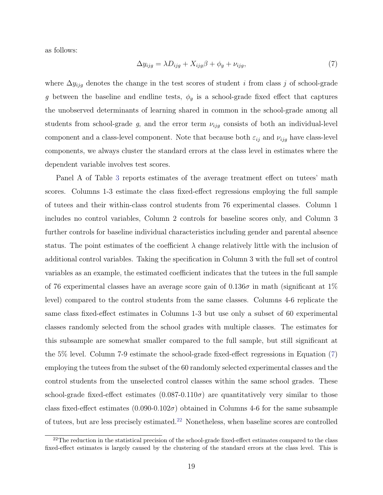as follows:

<span id="page-21-0"></span>
$$
\Delta y_{ijg} = \lambda D_{ijg} + X_{ijg}\beta + \phi_g + \nu_{ijg},\tag{7}
$$

where  $\Delta y_{ijg}$  denotes the change in the test scores of student *i* from class *j* of school-grade g between the baseline and endline tests,  $\phi_g$  is a school-grade fixed effect that captures the unobserved determinants of learning shared in common in the school-grade among all students from school-grade g, and the error term  $\nu_{ijg}$  consists of both an individual-level component and a class-level component. Note that because both  $\varepsilon_{ij}$  and  $\nu_{ijg}$  have class-level components, we always cluster the standard errors at the class level in estimates where the dependent variable involves test scores.

Panel A of Table [3](#page-44-0) reports estimates of the average treatment effect on tutees' math scores. Columns 1-3 estimate the class fixed-effect regressions employing the full sample of tutees and their within-class control students from 76 experimental classes. Column 1 includes no control variables, Column 2 controls for baseline scores only, and Column 3 further controls for baseline individual characteristics including gender and parental absence status. The point estimates of the coefficient  $\lambda$  change relatively little with the inclusion of additional control variables. Taking the specification in Column 3 with the full set of control variables as an example, the estimated coefficient indicates that the tutees in the full sample of 76 experimental classes have an average score gain of  $0.136\sigma$  in math (significant at 1%) level) compared to the control students from the same classes. Columns 4-6 replicate the same class fixed-effect estimates in Columns 1-3 but use only a subset of 60 experimental classes randomly selected from the school grades with multiple classes. The estimates for this subsample are somewhat smaller compared to the full sample, but still significant at the 5% level. Column 7-9 estimate the school-grade fixed-effect regressions in Equation [\(7\)](#page-21-0) employing the tutees from the subset of the 60 randomly selected experimental classes and the control students from the unselected control classes within the same school grades. These school-grade fixed-effect estimates  $(0.087-0.110\sigma)$  are quantitatively very similar to those class fixed-effect estimates  $(0.090-0.102\sigma)$  obtained in Columns 4-6 for the same subsample of tutees, but are less precisely estimated.[22](#page-21-1) Nonetheless, when baseline scores are controlled

<span id="page-21-1"></span> $^{22}$ The reduction in the statistical precision of the school-grade fixed-effect estimates compared to the class fixed-effect estimates is largely caused by the clustering of the standard errors at the class level. This is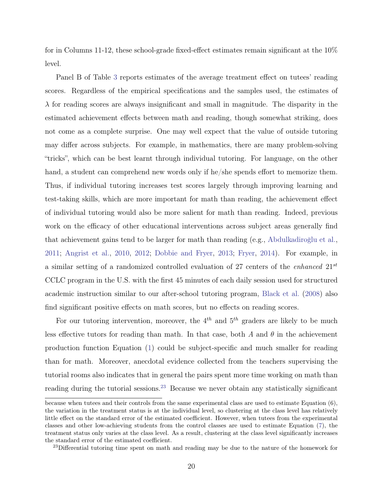for in Columns 11-12, these school-grade fixed-effect estimates remain significant at the 10% level.

Panel B of Table [3](#page-44-0) reports estimates of the average treatment effect on tutees' reading scores. Regardless of the empirical specifications and the samples used, the estimates of  $\lambda$  for reading scores are always insignificant and small in magnitude. The disparity in the estimated achievement effects between math and reading, though somewhat striking, does not come as a complete surprise. One may well expect that the value of outside tutoring may differ across subjects. For example, in mathematics, there are many problem-solving "tricks", which can be best learnt through individual tutoring. For language, on the other hand, a student can comprehend new words only if he/she spends effort to memorize them. Thus, if individual tutoring increases test scores largely through improving learning and test-taking skills, which are more important for math than reading, the achievement effect of individual tutoring would also be more salient for math than reading. Indeed, previous work on the efficacy of other educational interventions across subject areas generally find that achievement gains tend to be larger for math than reading (e.g., [Abdulkadiroğlu et al.,](#page-36-2) [2011;](#page-36-2) [Angrist et al.,](#page-36-3) [2010,](#page-36-3) [2012;](#page-36-9) [Dobbie and Fryer,](#page-37-7) [2013;](#page-37-7) [Fryer,](#page-37-10) [2014\)](#page-37-10). For example, in a similar setting of a randomized controlled evaluation of 27 centers of the *enhanced*  $21^{st}$ CCLC program in the U.S. with the first 45 minutes of each daily session used for structured academic instruction similar to our after-school tutoring program, [Black et al.](#page-36-4) [\(2008\)](#page-36-4) also find significant positive effects on math scores, but no effects on reading scores.

For our tutoring intervention, moreover, the  $4^{th}$  and  $5^{th}$  graders are likely to be much less effective tutors for reading than math. In that case, both A and  $\theta$  in the achievement production function Equation [\(1\)](#page-11-1) could be subject-specific and much smaller for reading than for math. Moreover, anecdotal evidence collected from the teachers supervising the tutorial rooms also indicates that in general the pairs spent more time working on math than reading during the tutorial sessions.<sup>[23](#page-22-0)</sup> Because we never obtain any statistically significant

because when tutees and their controls from the same experimental class are used to estimate Equation (6), the variation in the treatment status is at the individual level, so clustering at the class level has relatively little effect on the standard error of the estimated coefficient. However, when tutees from the experimental classes and other low-achieving students from the control classes are used to estimate Equation [\(7\)](#page-21-0), the treatment status only varies at the class level. As a result, clustering at the class level significantly increases the standard error of the estimated coefficient.

<span id="page-22-0"></span><sup>&</sup>lt;sup>23</sup>Differential tutoring time spent on math and reading may be due to the nature of the homework for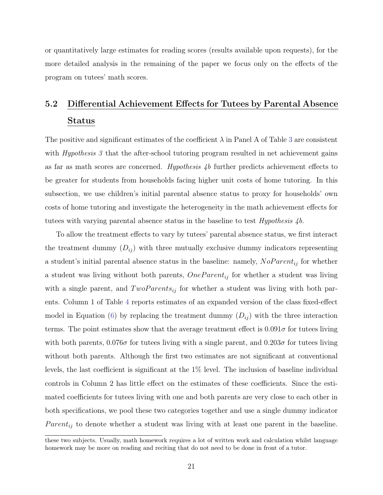or quantitatively large estimates for reading scores (results available upon requests), for the more detailed analysis in the remaining of the paper we focus only on the effects of the program on tutees' math scores.

# 5.2 Differential Achievement Effects for Tutees by Parental Absence Status

The positive and significant estimates of the coefficient  $\lambda$  in Panel A of Table [3](#page-44-0) are consistent with *Hypothesis 3* that the after-school tutoring program resulted in net achievement gains as far as math scores are concerned. Hypothesis 4b further predicts achievement effects to be greater for students from households facing higher unit costs of home tutoring. In this subsection, we use children's initial parental absence status to proxy for households' own costs of home tutoring and investigate the heterogeneity in the math achievement effects for tutees with varying parental absence status in the baseline to test  $Hypothesis 4b$ .

To allow the treatment effects to vary by tutees' parental absence status, we first interact the treatment dummy  $(D_{ij})$  with three mutually exclusive dummy indicators representing a student's initial parental absence status in the baseline: namely,  $NoParent_{ij}$  for whether a student was living without both parents,  $OneParent_{ij}$  for whether a student was living with a single parent, and  $TwoParents_{ij}$  for whether a student was living with both parents. Column 1 of Table [4](#page-45-0) reports estimates of an expanded version of the class fixed-effect model in Equation [\(6\)](#page-20-0) by replacing the treatment dummy  $(D_{ij})$  with the three interaction terms. The point estimates show that the average treatment effect is  $0.091\sigma$  for tutees living with both parents,  $0.076\sigma$  for tutees living with a single parent, and  $0.203\sigma$  for tutees living without both parents. Although the first two estimates are not significant at conventional levels, the last coefficient is significant at the 1% level. The inclusion of baseline individual controls in Column 2 has little effect on the estimates of these coefficients. Since the estimated coefficients for tutees living with one and both parents are very close to each other in both specifications, we pool these two categories together and use a single dummy indicator  $Parent_{ij}$  to denote whether a student was living with at least one parent in the baseline.

these two subjects. Usually, math homework requires a lot of written work and calculation whilst language homework may be more on reading and reciting that do not need to be done in front of a tutor.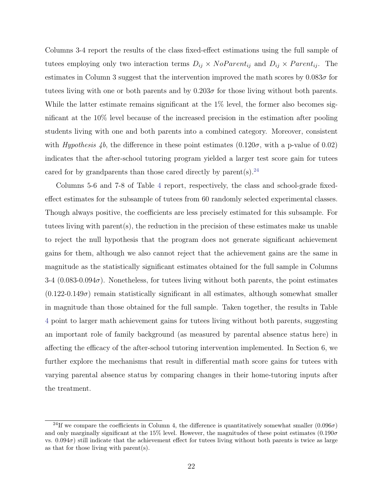Columns 3-4 report the results of the class fixed-effect estimations using the full sample of tutees employing only two interaction terms  $D_{ij} \times NoParent_{ij}$  and  $D_{ij} \times Parent_{ij}$ . The estimates in Column 3 suggest that the intervention improved the math scores by  $0.083\sigma$  for tutees living with one or both parents and by  $0.203\sigma$  for those living without both parents. While the latter estimate remains significant at the 1% level, the former also becomes significant at the 10% level because of the increased precision in the estimation after pooling students living with one and both parents into a combined category. Moreover, consistent with Hypothesis 4b, the difference in these point estimates  $(0.120\sigma, \text{ with a p-value of } 0.02)$ indicates that the after-school tutoring program yielded a larger test score gain for tutees cared for by grandparents than those cared directly by parent(s).<sup>[24](#page-24-0)</sup>

Columns 5-6 and 7-8 of Table [4](#page-45-0) report, respectively, the class and school-grade fixedeffect estimates for the subsample of tutees from 60 randomly selected experimental classes. Though always positive, the coefficients are less precisely estimated for this subsample. For tutees living with parent(s), the reduction in the precision of these estimates make us unable to reject the null hypothesis that the program does not generate significant achievement gains for them, although we also cannot reject that the achievement gains are the same in magnitude as the statistically significant estimates obtained for the full sample in Columns  $3-4$  (0.083-0.094 $\sigma$ ). Nonetheless, for tutees living without both parents, the point estimates  $(0.122-0.149\sigma)$  remain statistically significant in all estimates, although somewhat smaller in magnitude than those obtained for the full sample. Taken together, the results in Table [4](#page-45-0) point to larger math achievement gains for tutees living without both parents, suggesting an important role of family background (as measured by parental absence status here) in affecting the efficacy of the after-school tutoring intervention implemented. In Section 6, we further explore the mechanisms that result in differential math score gains for tutees with varying parental absence status by comparing changes in their home-tutoring inputs after the treatment.

<span id="page-24-0"></span><sup>&</sup>lt;sup>24</sup>If we compare the coefficients in Column 4, the difference is quantitatively somewhat smaller  $(0.096\sigma)$ and only marginally significant at the 15% level. However, the magnitudes of these point estimates  $(0.190\sigma$ vs.  $0.094\sigma$ ) still indicate that the achievement effect for tutees living without both parents is twice as large as that for those living with parent(s).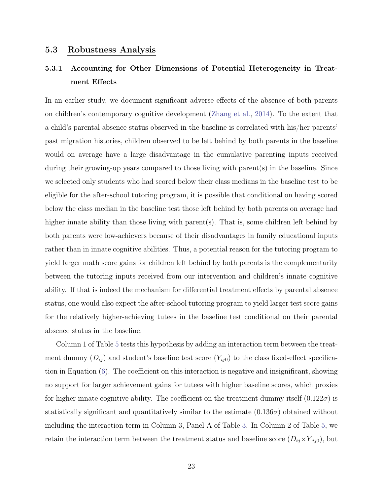### 5.3 Robustness Analysis

# 5.3.1 Accounting for Other Dimensions of Potential Heterogeneity in Treatment Effects

In an earlier study, we document significant adverse effects of the absence of both parents on children's contemporary cognitive development [\(Zhang et al.,](#page-39-12) [2014\)](#page-39-12). To the extent that a child's parental absence status observed in the baseline is correlated with his/her parents' past migration histories, children observed to be left behind by both parents in the baseline would on average have a large disadvantage in the cumulative parenting inputs received during their growing-up years compared to those living with parent(s) in the baseline. Since we selected only students who had scored below their class medians in the baseline test to be eligible for the after-school tutoring program, it is possible that conditional on having scored below the class median in the baseline test those left behind by both parents on average had higher innate ability than those living with parent(s). That is, some children left behind by both parents were low-achievers because of their disadvantages in family educational inputs rather than in innate cognitive abilities. Thus, a potential reason for the tutoring program to yield larger math score gains for children left behind by both parents is the complementarity between the tutoring inputs received from our intervention and children's innate cognitive ability. If that is indeed the mechanism for differential treatment effects by parental absence status, one would also expect the after-school tutoring program to yield larger test score gains for the relatively higher-achieving tutees in the baseline test conditional on their parental absence status in the baseline.

Column 1 of Table [5](#page-46-0) tests this hypothesis by adding an interaction term between the treatment dummy  $(D_{ij})$  and student's baseline test score  $(Y_{ij0})$  to the class fixed-effect specification in Equation [\(6\)](#page-20-0). The coefficient on this interaction is negative and insignificant, showing no support for larger achievement gains for tutees with higher baseline scores, which proxies for higher innate cognitive ability. The coefficient on the treatment dummy itself  $(0.122\sigma)$  is statistically significant and quantitatively similar to the estimate  $(0.136\sigma)$  obtained without including the interaction term in Column 3, Panel A of Table [3.](#page-44-0) In Column 2 of Table [5,](#page-46-0) we retain the interaction term between the treatment status and baseline score  $(D_{ij} \times Y_{ij0})$ , but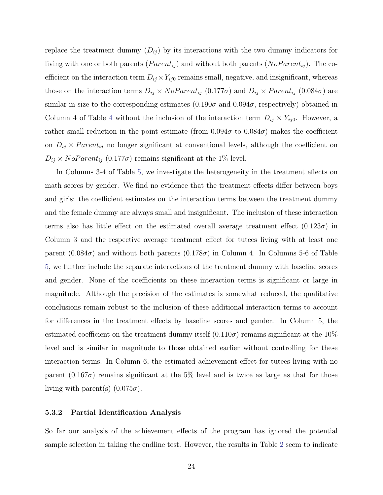replace the treatment dummy  $(D_{ij})$  by its interactions with the two dummy indicators for living with one or both parents ( $Parent_{ij}$ ) and without both parents ( $NoParent_{ij}$ ). The coefficient on the interaction term  $D_{ij} \times Y_{ij0}$  remains small, negative, and insignificant, whereas those on the interaction terms  $D_{ij} \times NoParent_{ij}$  (0.177 $\sigma$ ) and  $D_{ij} \times Parent_{ij}$  (0.084 $\sigma$ ) are similar in size to the corresponding estimates  $(0.190\sigma \text{ and } 0.094\sigma)$ , respectively) obtained in Column [4](#page-45-0) of Table 4 without the inclusion of the interaction term  $D_{ij} \times Y_{ij0}$ . However, a rather small reduction in the point estimate (from  $0.094\sigma$  to  $0.084\sigma$ ) makes the coefficient on  $D_{ij} \times Parent_{ij}$  no longer significant at conventional levels, although the coefficient on  $D_{ij} \times NoParent_{ij}$  (0.177 $\sigma$ ) remains significant at the 1% level.

In Columns 3-4 of Table [5,](#page-46-0) we investigate the heterogeneity in the treatment effects on math scores by gender. We find no evidence that the treatment effects differ between boys and girls: the coefficient estimates on the interaction terms between the treatment dummy and the female dummy are always small and insignificant. The inclusion of these interaction terms also has little effect on the estimated overall average treatment effect  $(0.123\sigma)$  in Column 3 and the respective average treatment effect for tutees living with at least one parent  $(0.084\sigma)$  and without both parents  $(0.178\sigma)$  in Column 4. In Columns 5-6 of Table [5,](#page-46-0) we further include the separate interactions of the treatment dummy with baseline scores and gender. None of the coefficients on these interaction terms is significant or large in magnitude. Although the precision of the estimates is somewhat reduced, the qualitative conclusions remain robust to the inclusion of these additional interaction terms to account for differences in the treatment effects by baseline scores and gender. In Column 5, the estimated coefficient on the treatment dummy itself  $(0.110\sigma)$  remains significant at the 10% level and is similar in magnitude to those obtained earlier without controlling for these interaction terms. In Column 6, the estimated achievement effect for tutees living with no parent (0.167 $\sigma$ ) remains significant at the 5% level and is twice as large as that for those living with parent(s)  $(0.075\sigma)$ .

### 5.3.2 Partial Identification Analysis

So far our analysis of the achievement effects of the program has ignored the potential sample selection in taking the endline test. However, the results in Table [2](#page-43-0) seem to indicate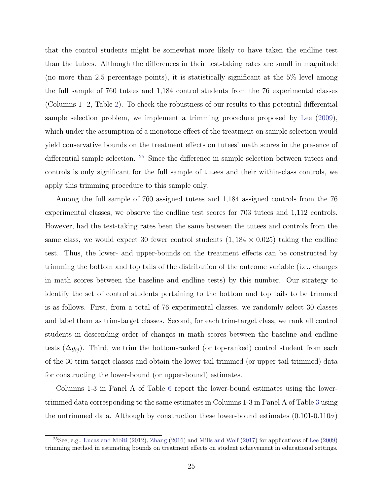that the control students might be somewhat more likely to have taken the endline test than the tutees. Although the differences in their test-taking rates are small in magnitude (no more than 2.5 percentage points), it is statistically significant at the 5% level among the full sample of 760 tutees and 1,184 control students from the 76 experimental classes (Columns 1 2, Table [2\)](#page-43-0). To check the robustness of our results to this potential differential sample selection problem, we implement a trimming procedure proposed by [Lee](#page-38-12) [\(2009\)](#page-38-12), which under the assumption of a monotone effect of the treatment on sample selection would yield conservative bounds on the treatment effects on tutees' math scores in the presence of differential sample selection. [25](#page-27-0) Since the difference in sample selection between tutees and controls is only significant for the full sample of tutees and their within-class controls, we apply this trimming procedure to this sample only.

Among the full sample of 760 assigned tutees and 1,184 assigned controls from the 76 experimental classes, we observe the endline test scores for 703 tutees and 1,112 controls. However, had the test-taking rates been the same between the tutees and controls from the same class, we would expect 30 fewer control students  $(1, 184 \times 0.025)$  taking the endline test. Thus, the lower- and upper-bounds on the treatment effects can be constructed by trimming the bottom and top tails of the distribution of the outcome variable (i.e., changes in math scores between the baseline and endline tests) by this number. Our strategy to identify the set of control students pertaining to the bottom and top tails to be trimmed is as follows. First, from a total of 76 experimental classes, we randomly select 30 classes and label them as trim-target classes. Second, for each trim-target class, we rank all control students in descending order of changes in math scores between the baseline and endline tests  $(\Delta y_{ij})$ . Third, we trim the bottom-ranked (or top-ranked) control student from each of the 30 trim-target classes and obtain the lower-tail-trimmed (or upper-tail-trimmed) data for constructing the lower-bound (or upper-bound) estimates.

Columns 1-3 in Panel A of Table [6](#page-47-0) report the lower-bound estimates using the lowertrimmed data corresponding to the same estimates in Columns 1-3 in Panel A of Table [3](#page-44-0) using the untrimmed data. Although by construction these lower-bound estimates  $(0.101-0.110\sigma)$ 

<span id="page-27-0"></span><sup>&</sup>lt;sup>25</sup>See, e.g., [Lucas and Mbiti](#page-38-13) [\(2012\)](#page-38-13), [Zhang](#page-39-13) [\(2016\)](#page-39-13) and [Mills and Wolf](#page-38-14) [\(2017\)](#page-38-14) for applications of [Lee](#page-38-12) [\(2009\)](#page-38-12) trimming method in estimating bounds on treatment effects on student achievement in educational settings.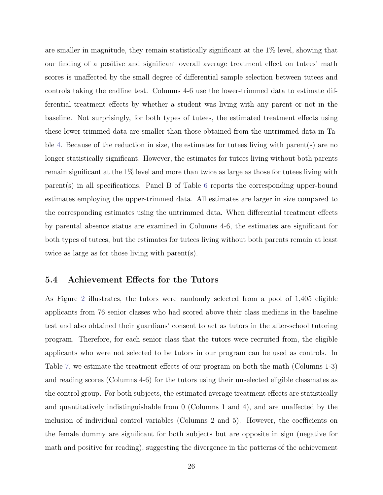are smaller in magnitude, they remain statistically significant at the 1% level, showing that our finding of a positive and significant overall average treatment effect on tutees' math scores is unaffected by the small degree of differential sample selection between tutees and controls taking the endline test. Columns 4-6 use the lower-trimmed data to estimate differential treatment effects by whether a student was living with any parent or not in the baseline. Not surprisingly, for both types of tutees, the estimated treatment effects using these lower-trimmed data are smaller than those obtained from the untrimmed data in Ta-ble [4.](#page-45-0) Because of the reduction in size, the estimates for tutees living with parent(s) are no longer statistically significant. However, the estimates for tutees living without both parents remain significant at the 1% level and more than twice as large as those for tutees living with parent(s) in all specifications. Panel B of Table [6](#page-47-0) reports the corresponding upper-bound estimates employing the upper-trimmed data. All estimates are larger in size compared to the corresponding estimates using the untrimmed data. When differential treatment effects by parental absence status are examined in Columns 4-6, the estimates are significant for both types of tutees, but the estimates for tutees living without both parents remain at least twice as large as for those living with parent(s).

### 5.4 Achievement Effects for the Tutors

As Figure [2](#page-41-0) illustrates, the tutors were randomly selected from a pool of 1,405 eligible applicants from 76 senior classes who had scored above their class medians in the baseline test and also obtained their guardians' consent to act as tutors in the after-school tutoring program. Therefore, for each senior class that the tutors were recruited from, the eligible applicants who were not selected to be tutors in our program can be used as controls. In Table [7,](#page-48-0) we estimate the treatment effects of our program on both the math (Columns 1-3) and reading scores (Columns 4-6) for the tutors using their unselected eligible classmates as the control group. For both subjects, the estimated average treatment effects are statistically and quantitatively indistinguishable from 0 (Columns 1 and 4), and are unaffected by the inclusion of individual control variables (Columns 2 and 5). However, the coefficients on the female dummy are significant for both subjects but are opposite in sign (negative for math and positive for reading), suggesting the divergence in the patterns of the achievement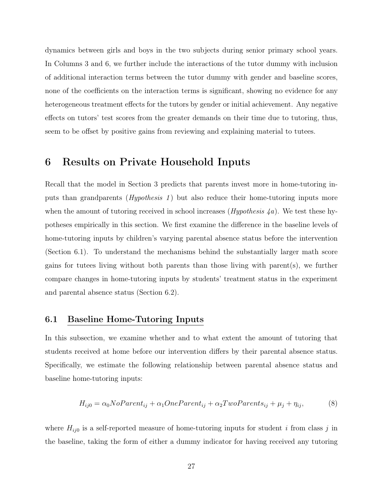dynamics between girls and boys in the two subjects during senior primary school years. In Columns 3 and 6, we further include the interactions of the tutor dummy with inclusion of additional interaction terms between the tutor dummy with gender and baseline scores, none of the coefficients on the interaction terms is significant, showing no evidence for any heterogeneous treatment effects for the tutors by gender or initial achievement. Any negative effects on tutors' test scores from the greater demands on their time due to tutoring, thus, seem to be offset by positive gains from reviewing and explaining material to tutees.

# 6 Results on Private Household Inputs

Recall that the model in Section 3 predicts that parents invest more in home-tutoring inputs than grandparents  $(Hypothesis 1)$  but also reduce their home-tutoring inputs more when the amount of tutoring received in school increases  $(Hypothesis \nmid a)$ . We test these hypotheses empirically in this section. We first examine the difference in the baseline levels of home-tutoring inputs by children's varying parental absence status before the intervention (Section 6.1). To understand the mechanisms behind the substantially larger math score gains for tutees living without both parents than those living with parent(s), we further compare changes in home-tutoring inputs by students' treatment status in the experiment and parental absence status (Section 6.2).

### 6.1 Baseline Home-Tutoring Inputs

In this subsection, we examine whether and to what extent the amount of tutoring that students received at home before our intervention differs by their parental absence status. Specifically, we estimate the following relationship between parental absence status and baseline home-tutoring inputs:

<span id="page-29-0"></span>
$$
H_{ij0} = \alpha_0 NoParent_{ij} + \alpha_1 OneParent_{ij} + \alpha_2 Two Parents_{ij} + \mu_j + \eta_{ij},
$$
\n(8)

where  $H_{ij0}$  is a self-reported measure of home-tutoring inputs for student i from class j in the baseline, taking the form of either a dummy indicator for having received any tutoring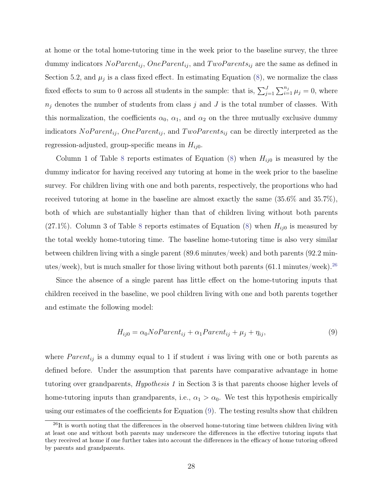at home or the total home-tutoring time in the week prior to the baseline survey, the three dummy indicators  $NoParent_{ij}$ ,  $OneParent_{ij}$ , and  $TwoParents_{ij}$  are the same as defined in Section 5.2, and  $\mu_j$  is a class fixed effect. In estimating Equation [\(8\)](#page-29-0), we normalize the class fixed effects to sum to 0 across all students in the sample: that is,  $\sum_{j=1}^{J} \sum_{i=1}^{n_j} \mu_j = 0$ , where  $n_j$  denotes the number of students from class j and J is the total number of classes. With this normalization, the coefficients  $\alpha_0$ ,  $\alpha_1$ , and  $\alpha_2$  on the three mutually exclusive dummy indicators  $NoParent_{ij}$ ,  $OneParent_{ij}$ , and  $TwoParents_{ij}$  can be directly interpreted as the regression-adjusted, group-specific means in  $H_{ij0}$ .

Column 1 of Table [8](#page-48-1) reports estimates of Equation  $(8)$  when  $H_{ij0}$  is measured by the dummy indicator for having received any tutoring at home in the week prior to the baseline survey. For children living with one and both parents, respectively, the proportions who had received tutoring at home in the baseline are almost exactly the same (35.6% and 35.7%), both of which are substantially higher than that of children living without both parents  $(27.1\%)$ . Column 3 of Table [8](#page-48-1) reports estimates of Equation [\(8\)](#page-29-0) when  $H_{ij0}$  is measured by the total weekly home-tutoring time. The baseline home-tutoring time is also very similar between children living with a single parent (89.6 minutes/week) and both parents (92.2 minutes/week), but is much smaller for those living without both parents  $(61.1 \text{ minutes/week})$ .<sup>[26](#page-30-0)</sup>

Since the absence of a single parent has little effect on the home-tutoring inputs that children received in the baseline, we pool children living with one and both parents together and estimate the following model:

<span id="page-30-1"></span>
$$
H_{ij0} = \alpha_0 NoParent_{ij} + \alpha_1 Parent_{ij} + \mu_j + \eta_{ij}, \tag{9}
$$

where  $Parent_{ij}$  is a dummy equal to 1 if student i was living with one or both parents as defined before. Under the assumption that parents have comparative advantage in home tutoring over grandparents, Hypothesis 1 in Section 3 is that parents choose higher levels of home-tutoring inputs than grandparents, i.e.,  $\alpha_1 > \alpha_0$ . We test this hypothesis empirically using our estimates of the coefficients for Equation [\(9\)](#page-30-1). The testing results show that children

<span id="page-30-0"></span> $^{26}$ It is worth noting that the differences in the observed home-tutoring time between children living with at least one and without both parents may underscore the differences in the effective tutoring inputs that they received at home if one further takes into account the differences in the efficacy of home tutoring offered by parents and grandparents.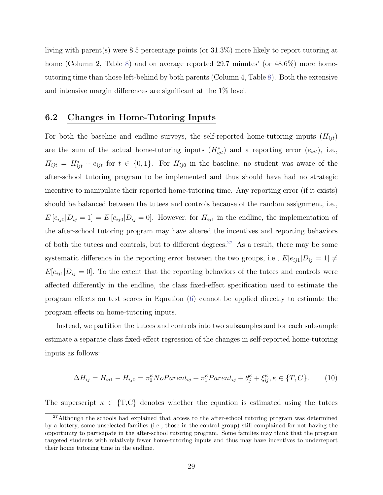living with parent(s) were 8.5 percentage points (or 31.3%) more likely to report tutoring at home (Column 2, Table [8\)](#page-48-1) and on average reported 29.7 minutes' (or 48.6%) more hometutoring time than those left-behind by both parents (Column 4, Table [8\)](#page-48-1). Both the extensive and intensive margin differences are significant at the 1% level.

### 6.2 Changes in Home-Tutoring Inputs

For both the baseline and endline surveys, the self-reported home-tutoring inputs  $(H_{iit})$ are the sum of the actual home-tutoring inputs  $(H_{ijt}^*)$  and a reporting error  $(e_{ijt})$ , i.e.,  $H_{ijt} = H_{ijt}^* + e_{ijt}$  for  $t \in \{0,1\}$ . For  $H_{ij0}$  in the baseline, no student was aware of the after-school tutoring program to be implemented and thus should have had no strategic incentive to manipulate their reported home-tutoring time. Any reporting error (if it exists) should be balanced between the tutees and controls because of the random assignment, i.e.,  $E[e_{ij0}|D_{ij}=1]=E[e_{ij0}|D_{ij}=0]$ . However, for  $H_{ij1}$  in the endline, the implementation of the after-school tutoring program may have altered the incentives and reporting behaviors of both the tutees and controls, but to different degrees.<sup>[27](#page-31-0)</sup> As a result, there may be some systematic difference in the reporting error between the two groups, i.e.,  $E[e_{ij1}|D_{ij} = 1] \neq$  $E[e_{ij1}|D_{ij}=0]$ . To the extent that the reporting behaviors of the tutees and controls were affected differently in the endline, the class fixed-effect specification used to estimate the program effects on test scores in Equation [\(6\)](#page-20-0) cannot be applied directly to estimate the program effects on home-tutoring inputs.

Instead, we partition the tutees and controls into two subsamples and for each subsample estimate a separate class fixed-effect regression of the changes in self-reported home-tutoring inputs as follows:

<span id="page-31-1"></span>
$$
\Delta H_{ij} = H_{ij1} - H_{ij0} = \pi_0^{\kappa} NoParent_{ij} + \pi_1^{\kappa} Parent_{ij} + \theta_j^{\kappa} + \xi_{ij}^{\kappa}, \kappa \in \{T, C\}. \tag{10}
$$

The superscript  $\kappa \in \{T, C\}$  denotes whether the equation is estimated using the tutees

<span id="page-31-0"></span><sup>&</sup>lt;sup>27</sup>Although the schools had explained that access to the after-school tutoring program was determined by a lottery, some unselected families (i.e., those in the control group) still complained for not having the opportunity to participate in the after-school tutoring program. Some families may think that the program targeted students with relatively fewer home-tutoring inputs and thus may have incentives to underreport their home tutoring time in the endline.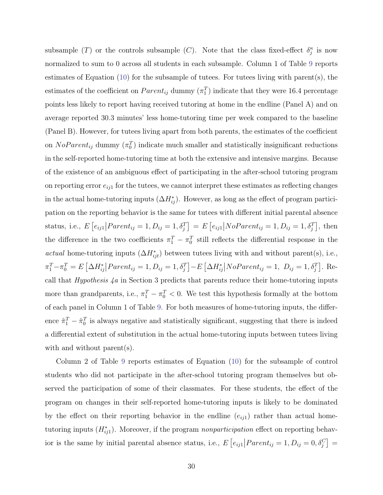subsample (T) or the controls subsample (C). Note that the class fixed-effect  $\delta_j^{\kappa}$  is now normalized to sum to 0 across all students in each subsample. Column 1 of Table [9](#page-49-0) reports estimates of Equation [\(10\)](#page-31-1) for the subsample of tutees. For tutees living with parent(s), the estimates of the coefficient on  $Parent_{ij}$  dummy  $(\pi_1^T)$  indicate that they were 16.4 percentage points less likely to report having received tutoring at home in the endline (Panel A) and on average reported 30.3 minutes' less home-tutoring time per week compared to the baseline (Panel B). However, for tutees living apart from both parents, the estimates of the coefficient on  $NoParent_{ij}$  dummy  $(\pi_0^T)$  indicate much smaller and statistically insignificant reductions in the self-reported home-tutoring time at both the extensive and intensive margins. Because of the existence of an ambiguous effect of participating in the after-school tutoring program on reporting error  $e_{ij1}$  for the tutees, we cannot interpret these estimates as reflecting changes in the actual home-tutoring inputs  $(\Delta H_{ij}^*)$ . However, as long as the effect of program participation on the reporting behavior is the same for tutees with different initial parental absence status, i.e.,  $E[e_{ij1} | Parent_{ij} = 1, D_{ij} = 1, \delta_j^T] = E[e_{ij1} | NoParent_{ij} = 1, D_{ij} = 1, \delta_j^T]$ , then the difference in the two coefficients  $\pi_1^T - \pi_0^T$  still reflects the differential response in the actual home-tutoring inputs  $(\Delta H_{ijt}^*)$  between tutees living with and without parent(s), i.e.,  $\pi_1^T - \pi_0^T = E\left[\Delta H_{ij}^* \middle| Parent_{ij} = 1, D_{ij} = 1, \delta_j^T\right] - E\left[\Delta H_{ij}^* \middle| NoParent_{ij} = 1, D_{ij} = 1, \delta_j^T\right].$  Recall that *Hypothesis*  $4a$  in Section 3 predicts that parents reduce their home-tutoring inputs more than grandparents, i.e.,  $\pi_1^T - \pi_0^T < 0$ . We test this hypothesis formally at the bottom of each panel in Column 1 of Table [9.](#page-49-0) For both measures of home-tutoring inputs, the difference  $\hat{\pi}_1^T - \hat{\pi}_0^T$  is always negative and statistically significant, suggesting that there is indeed a differential extent of substitution in the actual home-tutoring inputs between tutees living with and without parent(s).

Column 2 of Table [9](#page-49-0) reports estimates of Equation [\(10\)](#page-31-1) for the subsample of control students who did not participate in the after-school tutoring program themselves but observed the participation of some of their classmates. For these students, the effect of the program on changes in their self-reported home-tutoring inputs is likely to be dominated by the effect on their reporting behavior in the endline  $(e_{ij1})$  rather than actual hometutoring inputs  $(H_{ijl}^*)$ . Moreover, if the program nonparticipation effect on reporting behavior is the same by initial parental absence status, i.e.,  $E\left[e_{ij1} \middle| Parent_{ij}=1, D_{ij}=0, \delta_j^C\right] =$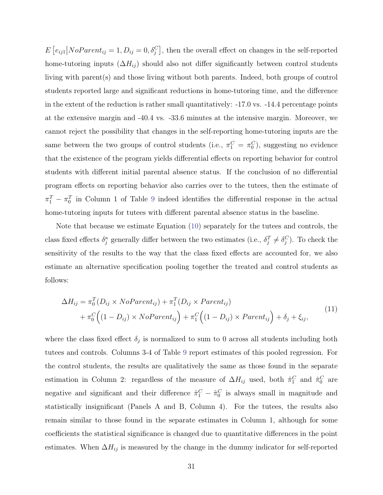$E\left[e_{ij1}\middle|NoParent_{ij}=1, D_{ij}=0, \delta_j^C\right]$ , then the overall effect on changes in the self-reported home-tutoring inputs  $(\Delta H_{ij})$  should also not differ significantly between control students living with parent(s) and those living without both parents. Indeed, both groups of control students reported large and significant reductions in home-tutoring time, and the difference in the extent of the reduction is rather small quantitatively: -17.0 vs. -14.4 percentage points at the extensive margin and -40.4 vs. -33.6 minutes at the intensive margin. Moreover, we cannot reject the possibility that changes in the self-reporting home-tutoring inputs are the same between the two groups of control students (i.e.,  $\pi_1^C = \pi_0^C$ ), suggesting no evidence that the existence of the program yields differential effects on reporting behavior for control students with different initial parental absence status. If the conclusion of no differential program effects on reporting behavior also carries over to the tutees, then the estimate of  $\pi_1^T - \pi_0^T$  in Column 1 of Table [9](#page-49-0) indeed identifies the differential response in the actual home-tutoring inputs for tutees with different parental absence status in the baseline.

Note that because we estimate Equation [\(10\)](#page-31-1) separately for the tutees and controls, the class fixed effects  $\delta_j^{\kappa}$  generally differ between the two estimates (i.e.,  $\delta_j^T \neq \delta_j^C$ ). To check the sensitivity of the results to the way that the class fixed effects are accounted for, we also estimate an alternative specification pooling together the treated and control students as follows:

$$
\Delta H_{ij} = \pi_0^T (D_{ij} \times NoParent_{ij}) + \pi_1^T (D_{ij} \times Parent_{ij})
$$
  
+ 
$$
\pi_0^C \Big( (1 - D_{ij}) \times NoParent_{ij} \Big) + \pi_1^C \Big( (1 - D_{ij}) \times Parent_{ij} \Big) + \delta_j + \xi_{ij},
$$
 (11)

where the class fixed effect  $\delta_j$  is normalized to sum to 0 across all students including both tutees and controls. Columns 3-4 of Table [9](#page-49-0) report estimates of this pooled regression. For the control students, the results are qualitatively the same as those found in the separate estimation in Column 2: regardless of the measure of  $\Delta H_{ij}$  used, both  $\hat{\pi}_1^C$  and  $\hat{\pi}_0^C$  are negative and significant and their difference  $\hat{\pi}_1^C - \hat{\pi}_0^C$  is always small in magnitude and statistically insignificant (Panels A and B, Column 4). For the tutees, the results also remain similar to those found in the separate estimates in Column 1, although for some coefficients the statistical significance is changed due to quantitative differences in the point estimates. When  $\Delta H_{ij}$  is measured by the change in the dummy indicator for self-reported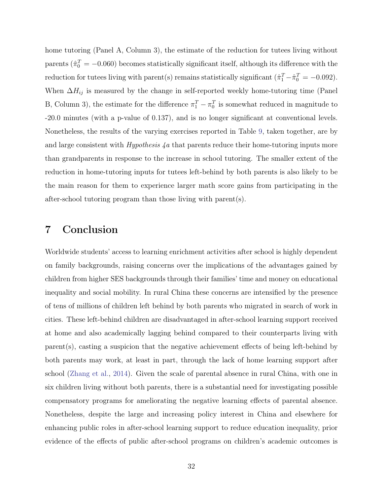home tutoring (Panel A, Column 3), the estimate of the reduction for tutees living without parents ( $\hat{\pi}_0^T = -0.060$ ) becomes statistically significant itself, although its difference with the reduction for tutees living with parent(s) remains statistically significant  $(\hat{\pi}_1^T - \hat{\pi}_0^T = -0.092)$ . When  $\Delta H_{ij}$  is measured by the change in self-reported weekly home-tutoring time (Panel B, Column 3), the estimate for the difference  $\pi_1^T - \pi_0^T$  is somewhat reduced in magnitude to -20.0 minutes (with a p-value of 0.137), and is no longer significant at conventional levels. Nonetheless, the results of the varying exercises reported in Table [9,](#page-49-0) taken together, are by and large consistent with *Hypothesis 4a* that parents reduce their home-tutoring inputs more than grandparents in response to the increase in school tutoring. The smaller extent of the reduction in home-tutoring inputs for tutees left-behind by both parents is also likely to be the main reason for them to experience larger math score gains from participating in the after-school tutoring program than those living with parent(s).

## 7 Conclusion

Worldwide students' access to learning enrichment activities after school is highly dependent on family backgrounds, raising concerns over the implications of the advantages gained by children from higher SES backgrounds through their families' time and money on educational inequality and social mobility. In rural China these concerns are intensified by the presence of tens of millions of children left behind by both parents who migrated in search of work in cities. These left-behind children are disadvantaged in after-school learning support received at home and also academically lagging behind compared to their counterparts living with parent(s), casting a suspicion that the negative achievement effects of being left-behind by both parents may work, at least in part, through the lack of home learning support after school [\(Zhang et al.,](#page-39-12) [2014\)](#page-39-12). Given the scale of parental absence in rural China, with one in six children living without both parents, there is a substantial need for investigating possible compensatory programs for ameliorating the negative learning effects of parental absence. Nonetheless, despite the large and increasing policy interest in China and elsewhere for enhancing public roles in after-school learning support to reduce education inequality, prior evidence of the effects of public after-school programs on children's academic outcomes is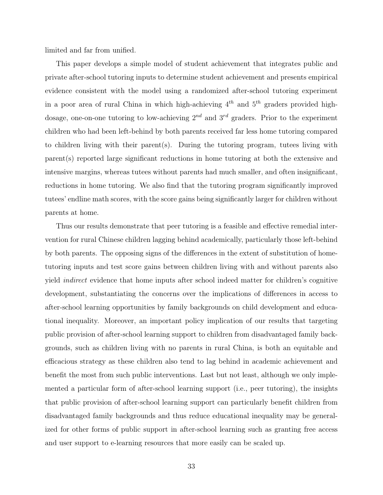limited and far from unified.

This paper develops a simple model of student achievement that integrates public and private after-school tutoring inputs to determine student achievement and presents empirical evidence consistent with the model using a randomized after-school tutoring experiment in a poor area of rural China in which high-achieving  $4^{th}$  and  $5^{th}$  graders provided highdosage, one-on-one tutoring to low-achieving  $2^{nd}$  and  $3^{rd}$  graders. Prior to the experiment children who had been left-behind by both parents received far less home tutoring compared to children living with their parent(s). During the tutoring program, tutees living with parent(s) reported large significant reductions in home tutoring at both the extensive and intensive margins, whereas tutees without parents had much smaller, and often insignificant, reductions in home tutoring. We also find that the tutoring program significantly improved tutees' endline math scores, with the score gains being significantly larger for children without parents at home.

Thus our results demonstrate that peer tutoring is a feasible and effective remedial intervention for rural Chinese children lagging behind academically, particularly those left-behind by both parents. The opposing signs of the differences in the extent of substitution of hometutoring inputs and test score gains between children living with and without parents also yield indirect evidence that home inputs after school indeed matter for children's cognitive development, substantiating the concerns over the implications of differences in access to after-school learning opportunities by family backgrounds on child development and educational inequality. Moreover, an important policy implication of our results that targeting public provision of after-school learning support to children from disadvantaged family backgrounds, such as children living with no parents in rural China, is both an equitable and efficacious strategy as these children also tend to lag behind in academic achievement and benefit the most from such public interventions. Last but not least, although we only implemented a particular form of after-school learning support (i.e., peer tutoring), the insights that public provision of after-school learning support can particularly benefit children from disadvantaged family backgrounds and thus reduce educational inequality may be generalized for other forms of public support in after-school learning such as granting free access and user support to e-learning resources that more easily can be scaled up.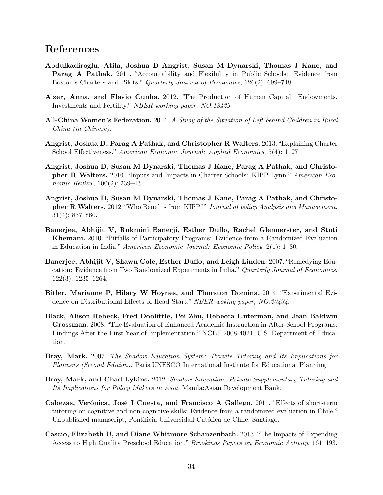# References

- <span id="page-36-2"></span>Abdulkadiroğlu, Atila, Joshua D Angrist, Susan M Dynarski, Thomas J Kane, and Parag A Pathak. 2011. "Accountability and Flexibility in Public Schools: Evidence from Boston's Charters and Pilots." Quarterly Journal of Economics, 126(2): 699–748.
- <span id="page-36-13"></span>Aizer, Anna, and Flavio Cunha. 2012. "The Production of Human Capital: Endowments, Investments and Fertility." NBER working paper, NO.18429.
- <span id="page-36-12"></span>All-China Women's Federation. 2014. A Study of the Situation of Left-behind Children in Rural China (in Chinese).
- <span id="page-36-10"></span>Angrist, Joshua D, Parag A Pathak, and Christopher R Walters. 2013. "Explaining Charter School Effectiveness." American Economic Journal: Applied Economics, 5(4): 1–27.
- <span id="page-36-3"></span>Angrist, Joshua D, Susan M Dynarski, Thomas J Kane, Parag A Pathak, and Christopher R Walters. 2010. "Inputs and Impacts in Charter Schools: KIPP Lynn." American Economic Review, 100(2): 239–43.
- <span id="page-36-9"></span>Angrist, Joshua D, Susan M Dynarski, Thomas J Kane, Parag A Pathak, and Christopher R Walters. 2012. "Who Benefits from KIPP?" Journal of policy Analysis and Management, 31(4): 837–860.
- <span id="page-36-1"></span>Banerjee, Abhijit V, Rukmini Banerji, Esther Duflo, Rachel Glennerster, and Stuti Khemani. 2010. "Pitfalls of Participatory Programs: Evidence from a Randomized Evaluation in Education in India." American Economic Journal: Economic Policy, 2(1): 1–30.
- <span id="page-36-5"></span>Banerjee, Abhijit V, Shawn Cole, Esther Duflo, and Leigh Linden. 2007. "Remedying Education: Evidence from Two Randomized Experiments in India." Quarterly Journal of Economics, 122(3): 1235–1264.
- <span id="page-36-8"></span>Bitler, Marianne P, Hilary W Hoynes, and Thurston Domina. 2014. "Experimental Evidence on Distributional Effects of Head Start." NBER woking paper, NO.20434.
- <span id="page-36-4"></span>Black, Alison Rebeck, Fred Doolittle, Pei Zhu, Rebecca Unterman, and Jean Baldwin Grossman. 2008. "The Evaluation of Enhanced Academic Instruction in After-School Programs: Findings After the First Year of Implementation." NCEE 2008-4021, U.S. Department of Education.
- <span id="page-36-11"></span>Bray, Mark. 2007. The Shadow Education System: Private Tutoring and Its Implications for Planners (Second Edition). Paris:UNESCO International Institute for Educational Planning.
- <span id="page-36-0"></span>Bray, Mark, and Chad Lykins. 2012. Shadow Education: Private Supplementary Tutoring and Its Implications for Policy Makers in Asia. Manila:Asian Development Bank.
- <span id="page-36-6"></span>Cabezas, Verónica, José I Cuesta, and Francisco A Gallego. 2011. "Effects of short-term tutoring on cognitive and non-cognitive skills: Evidence from a randomized evaluation in Chile." Unpublished manuscript, Pontificia Universidad Católica de Chile, Santiago.
- <span id="page-36-7"></span>Cascio, Elizabeth U, and Diane Whitmore Schanzenbach. 2013. "The Impacts of Expending Access to High Quality Preschool Education." Brookings Papers on Economic Activity, 161–193.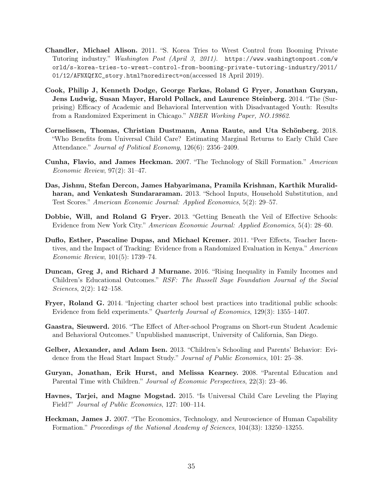- <span id="page-37-2"></span>Chandler, Michael Alison. 2011. "S. Korea Tries to Wrest Control from Booming Private Tutoring industry." Washington Post (April 3, 2011). [https://www.washingtonpost.com/w](https://www.washingtonpost.com/world/s-korea-tries-to-wrest-control-from-booming-private-tutoring-industry/2011/01/12/AFNXQfXC_story.html?noredirect=on) [orld/s-korea-tries-to-wrest-control-from-booming-private-tutoring-industry/2011/](https://www.washingtonpost.com/world/s-korea-tries-to-wrest-control-from-booming-private-tutoring-industry/2011/01/12/AFNXQfXC_story.html?noredirect=on) [01/12/AFNXQfXC\\_story.html?noredirect=on](https://www.washingtonpost.com/world/s-korea-tries-to-wrest-control-from-booming-private-tutoring-industry/2011/01/12/AFNXQfXC_story.html?noredirect=on)(accessed 18 April 2019).
- <span id="page-37-4"></span>Cook, Philip J, Kenneth Dodge, George Farkas, Roland G Fryer, Jonathan Guryan, Jens Ludwig, Susan Mayer, Harold Pollack, and Laurence Steinberg. 2014. "The (Surprising) Efficacy of Academic and Behavioral Intervention with Disadvantaged Youth: Results from a Randomized Experiment in Chicago." NBER Working Paper, NO.19862.
- <span id="page-37-11"></span>Cornelissen, Thomas, Christian Dustmann, Anna Raute, and Uta Schönberg. 2018. "Who Benefits from Universal Child Care? Estimating Marginal Returns to Early Child Care Attendance." Journal of Political Economy, 126(6): 2356–2409.
- <span id="page-37-12"></span>Cunha, Flavio, and James Heckman. 2007. "The Technology of Skill Formation." American Economic Review, 97(2): 31–47.
- <span id="page-37-6"></span>Das, Jishnu, Stefan Dercon, James Habyarimana, Pramila Krishnan, Karthik Muralidharan, and Venkatesh Sundararaman. 2013. "School Inputs, Household Substitution, and Test Scores." American Economic Journal: Applied Economics, 5(2): 29–57.
- <span id="page-37-7"></span>Dobbie, Will, and Roland G Fryer. 2013. "Getting Beneath the Veil of Effective Schools: Evidence from New York City." American Economic Journal: Applied Economics, 5(4): 28–60.
- <span id="page-37-8"></span>Duflo, Esther, Pascaline Dupas, and Michael Kremer. 2011. "Peer Effects, Teacher Incentives, and the Impact of Tracking: Evidence from a Randomized Evaluation in Kenya." American Economic Review, 101(5): 1739–74.
- <span id="page-37-1"></span>Duncan, Greg J, and Richard J Murnane. 2016. "Rising Inequality in Family Incomes and Children's Educational Outcomes." RSF: The Russell Sage Foundation Journal of the Social Sciences, 2(2): 142–158.
- <span id="page-37-10"></span>Fryer, Roland G. 2014. "Injecting charter school best practices into traditional public schools: Evidence from field experiments." Quarterly Journal of Economics, 129(3): 1355–1407.
- <span id="page-37-3"></span>Gaastra, Sieuwerd. 2016. "The Effect of After-school Programs on Short-run Student Academic and Behavioral Outcomes." Unpublished manuscript, University of California, San Diego.
- <span id="page-37-5"></span>Gelber, Alexander, and Adam Isen. 2013. "Children's Schooling and Parents' Behavior: Evidence from the Head Start Impact Study." Journal of Public Economics, 101: 25–38.
- <span id="page-37-0"></span>Guryan, Jonathan, Erik Hurst, and Melissa Kearney. 2008. "Parental Education and Parental Time with Children." Journal of Economic Perspectives, 22(3): 23–46.
- <span id="page-37-9"></span>Havnes, Tarjei, and Magne Mogstad. 2015. "Is Universal Child Care Leveling the Playing Field?" Journal of Public Economics, 127: 100–114.
- <span id="page-37-13"></span>Heckman, James J. 2007. "The Economics, Technology, and Neuroscience of Human Capability Formation." Proceedings of the National Academy of Sciences, 104(33): 13250–13255.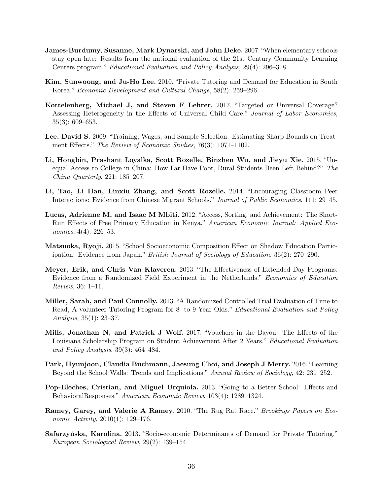- <span id="page-38-5"></span>James-Burdumy, Susanne, Mark Dynarski, and John Deke. 2007. "When elementary schools stay open late: Results from the national evaluation of the 21st Century Community Learning Centers program." Educational Evaluation and Policy Analysis, 29(4): 296–318.
- <span id="page-38-0"></span>Kim, Sunwoong, and Ju-Ho Lee. 2010. "Private Tutoring and Demand for Education in South Korea." Economic Development and Cultural Change, 58(2): 259–296.
- <span id="page-38-10"></span>Kottelenberg, Michael J, and Steven F Lehrer. 2017. "Targeted or Universal Coverage? Assessing Heterogeneity in the Effects of Universal Child Care." Journal of Labor Economics, 35(3): 609–653.
- <span id="page-38-12"></span>Lee, David S. 2009. "Training, Wages, and Sample Selection: Estimating Sharp Bounds on Treatment Effects." The Review of Economic Studies, 76(3): 1071–1102.
- <span id="page-38-11"></span>Li, Hongbin, Prashant Loyalka, Scott Rozelle, Binzhen Wu, and Jieyu Xie. 2015. "Unequal Access to College in China: How Far Have Poor, Rural Students Been Left Behind?" The China Quarterly, 221: 185–207.
- <span id="page-38-9"></span>Li, Tao, Li Han, Linxiu Zhang, and Scott Rozelle. 2014. "Encouraging Classroom Peer Interactions: Evidence from Chinese Migrant Schools." Journal of Public Economics, 111: 29–45.
- <span id="page-38-13"></span>Lucas, Adrienne M, and Isaac M Mbiti. 2012. "Access, Sorting, and Achievement: The Short-Run Effects of Free Primary Education in Kenya." American Economic Journal: Applied Economics, 4(4): 226–53.
- <span id="page-38-1"></span>Matsuoka, Ryoji. 2015. "School Socioeconomic Composition Effect on Shadow Education Participation: Evidence from Japan." British Journal of Sociology of Education, 36(2): 270–290.
- <span id="page-38-6"></span>Meyer, Erik, and Chris Van Klaveren. 2013. "The Effectiveness of Extended Day Programs: Evidence from a Randomized Field Experiment in the Netherlands." Economics of Education Review, 36: 1–11.
- <span id="page-38-7"></span>Miller, Sarah, and Paul Connolly. 2013. "A Randomized Controlled Trial Evaluation of Time to Read, A volunteer Tutoring Program for 8- to 9-Year-Olds." Educational Evaluation and Policy Analysis, 35(1): 23–37.
- <span id="page-38-14"></span>Mills, Jonathan N, and Patrick J Wolf. 2017. "Vouchers in the Bayou: The Effects of the Louisiana Scholarship Program on Student Achievement After 2 Years." Educational Evaluation and Policy Analysis, 39(3): 464–484.
- <span id="page-38-3"></span>Park, Hyunjoon, Claudia Buchmann, Jaesung Choi, and Joseph J Merry. 2016. "Learning Beyond the School Walls: Trends and Implications." Annual Review of Sociology, 42: 231–252.
- <span id="page-38-8"></span>Pop-Eleches, Cristian, and Miguel Urquiola. 2013. "Going to a Better School: Effects and BehavioralResponses." American Economic Review, 103(4): 1289–1324.
- <span id="page-38-4"></span>Ramey, Garey, and Valerie A Ramey. 2010. "The Rug Rat Race." Brookings Papers on Economic Activity, 2010(1): 129–176.
- <span id="page-38-2"></span>Safarzyńska, Karolina. 2013. "Socio-economic Determinants of Demand for Private Tutoring." European Sociological Review, 29(2): 139–154.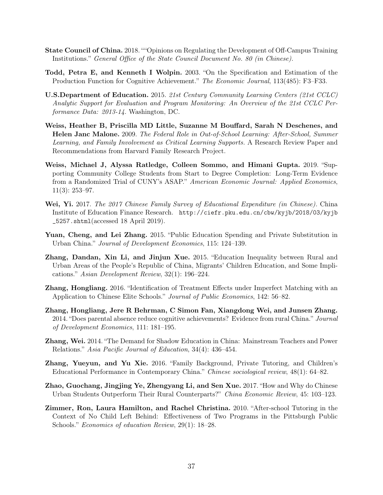- <span id="page-39-3"></span>State Council of China. 2018. " "Opinions on Regulating the Development of Off-Campus Training Institutions." General Office of the State Council Document No. 80 (in Chinese).
- <span id="page-39-5"></span>Todd, Petra E, and Kenneth I Wolpin. 2003. "On the Specification and Estimation of the Production Function for Cognitive Achievement." The Economic Journal, 113(485): F3–F33.
- <span id="page-39-2"></span>U.S.Department of Education. 2015. 21st Century Community Learning Centers (21st CCLC) Analytic Support for Evaluation and Program Monitoring: An Overview of the 21st CCLC Performance Data: 2013-14. Washington, DC.
- <span id="page-39-0"></span>Weiss, Heather B, Priscilla MD Little, Suzanne M Bouffard, Sarah N Deschenes, and Helen Janc Malone. 2009. The Federal Role in Out-of-School Learning: After-School, Summer Learning, and Family Involvement as Critical Learning Supports. A Research Review Paper and Recommendations from Harvard Family Research Project.
- <span id="page-39-7"></span>Weiss, Michael J, Alyssa Ratledge, Colleen Sommo, and Himani Gupta. 2019. "Supporting Community College Students from Start to Degree Completion: Long-Term Evidence from a Randomized Trial of CUNY's ASAP." American Economic Journal: Applied Economics, 11(3): 253–97.
- <span id="page-39-8"></span>Wei, Yi. 2017. The 2017 Chinese Family Survey of Educational Expenditure (in Chinese). China Institute of Education Finance Research. [http://ciefr.pku.edu.cn/cbw/kyjb/2018/03/kyjb](http://ciefr.pku.edu.cn/cbw/kyjb/2018/03/kyjb_5257.shtml) [\\_5257.shtml](http://ciefr.pku.edu.cn/cbw/kyjb/2018/03/kyjb_5257.shtml)(accessed 18 April 2019).
- <span id="page-39-6"></span>Yuan, Cheng, and Lei Zhang. 2015. "Public Education Spending and Private Substitution in Urban China." Journal of Development Economics, 115: 124–139.
- <span id="page-39-10"></span>Zhang, Dandan, Xin Li, and Jinjun Xue. 2015. "Education Inequality between Rural and Urban Areas of the People's Republic of China, Migrants' Children Education, and Some Implications." Asian Development Review, 32(1): 196–224.
- <span id="page-39-13"></span>Zhang, Hongliang. 2016. "Identification of Treatment Effects under Imperfect Matching with an Application to Chinese Elite Schools." Journal of Public Economics, 142: 56–82.
- <span id="page-39-12"></span>Zhang, Hongliang, Jere R Behrman, C Simon Fan, Xiangdong Wei, and Junsen Zhang. 2014. "Does parental absence reduce cognitive achievements? Evidence from rural China." Journal of Development Economics, 111: 181–195.
- <span id="page-39-9"></span>Zhang, Wei. 2014. "The Demand for Shadow Education in China: Mainstream Teachers and Power Relations." Asia Pacific Journal of Education, 34(4): 436–454.
- <span id="page-39-1"></span>Zhang, Yueyun, and Yu Xie. 2016. "Family Background, Private Tutoring, and Children's Educational Performance in Contemporary China." Chinese sociological review, 48(1): 64–82.
- <span id="page-39-11"></span>Zhao, Guochang, Jingjing Ye, Zhengyang Li, and Sen Xue. 2017. "How and Why do Chinese Urban Students Outperform Their Rural Counterparts?" China Economic Review, 45: 103–123.
- <span id="page-39-4"></span>Zimmer, Ron, Laura Hamilton, and Rachel Christina. 2010. "After-school Tutoring in the Context of No Child Left Behind: Effectiveness of Two Programs in the Pittsburgh Public Schools." Economics of education Review, 29(1): 18–28.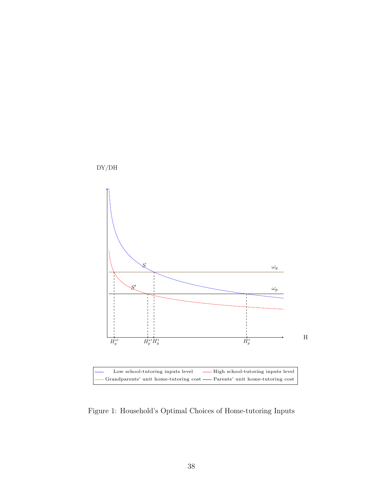<span id="page-40-0"></span>

Figure 1: Household's Optimal Choices of Home-tutoring Inputs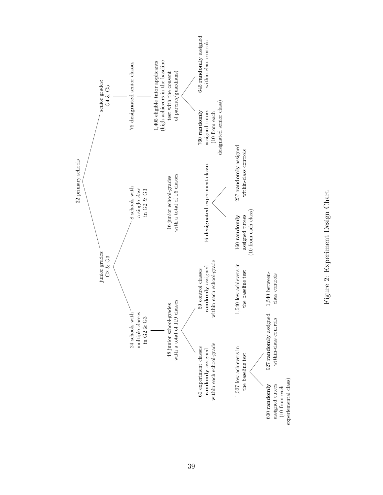

<span id="page-41-0"></span>Figure 2: Experiment Design Chart Figure 2: Experiment Design Chart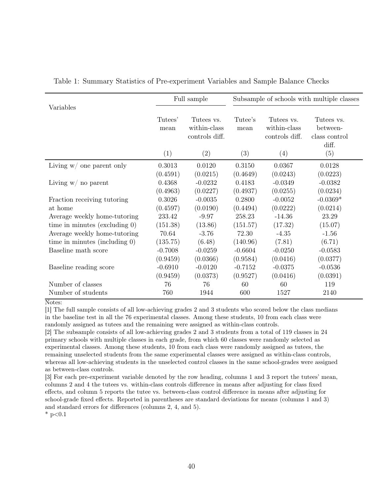|                                  |                 | Full sample                                  |                 |                                              | Subsample of schools with multiple classes |
|----------------------------------|-----------------|----------------------------------------------|-----------------|----------------------------------------------|--------------------------------------------|
| Variables                        | Tutees'<br>mean | Tutees vs.<br>within-class<br>controls diff. | Tutee's<br>mean | Tutees vs.<br>within-class<br>controls diff. | Tutees vs.<br>between-<br>class control    |
|                                  | (1)             | (2)                                          | (3)             | (4)                                          | diff.<br>(5)                               |
| Living $w/$ one parent only      | 0.3013          | 0.0120                                       | 0.3150          | 0.0367                                       | 0.0128                                     |
|                                  | (0.4591)        | (0.0215)                                     | (0.4649)        | (0.0243)                                     | (0.0223)                                   |
| Living $w/$ no parent            | 0.4368          | $-0.0232$                                    | 0.4183          | $-0.0349$                                    | $-0.0382$                                  |
|                                  | (0.4963)        | (0.0227)                                     | (0.4937)        | (0.0255)                                     | (0.0234)                                   |
| Fraction receiving tutoring      | 0.3026          | $-0.0035$                                    | 0.2800          | $-0.0052$                                    | $-0.0369*$                                 |
| at home                          | (0.4597)        | (0.0190)                                     | (0.4494)        | (0.0222)                                     | (0.0214)                                   |
| Average weekly home-tutoring     | 233.42          | $-9.97$                                      | 258.23          | $-14.36$                                     | 23.29                                      |
| time in minutes (excluding $0$ ) | (151.38)        | (13.86)                                      | (151.57)        | (17.32)                                      | (15.07)                                    |
| Average weekly home-tutoring     | 70.64           | $-3.76$                                      | 72.30           | $-4.35$                                      | $-1.56$                                    |
| time in minutes (including $0$ ) | (135.75)        | (6.48)                                       | (140.96)        | (7.81)                                       | (6.71)                                     |
| Baseline math score              | $-0.7008$       | $-0.0259$                                    | $-0.6604$       | $-0.0250$                                    | $-0.0583$                                  |
|                                  | (0.9459)        | (0.0366)                                     | (0.9584)        | (0.0416)                                     | (0.0377)                                   |
| Baseline reading score           | $-0.6910$       | $-0.0120$                                    | $-0.7152$       | $-0.0375$                                    | $-0.0536$                                  |
|                                  | (0.9459)        | (0.0373)                                     | (0.9527)        | (0.0416)                                     | (0.0391)                                   |
| Number of classes                | 76              | 76                                           | 60              | 60                                           | 119                                        |
| Number of students               | 760             | 1944                                         | 600             | 1527                                         | 2140                                       |

<span id="page-42-0"></span>Table 1: Summary Statistics of Pre-experiment Variables and Sample Balance Checks

Notes:

[1] The full sample consists of all low-achieving grades 2 and 3 students who scored below the class medians in the baseline test in all the 76 experimental classes. Among these students, 10 from each class were randomly assigned as tutees and the remaining were assigned as within-class controls.

[2] The subsample consists of all low-achieving grades 2 and 3 students from a total of 119 classes in 24 primary schools with multiple classes in each grade, from which 60 classes were randomly selected as experimental classes. Among these students, 10 from each class were randomly assigned as tutees, the remaining unselected students from the same experimental classes were assigned as within-class controls, whereas all low-achieving students in the unselected control classes in the same school-grades were assigned as between-class controls.

[3] For each pre-experiment variable denoted by the row heading, columns 1 and 3 report the tutees' mean, columns 2 and 4 the tutees vs. within-class controls difference in means after adjusting for class fixed effects, and column 5 reports the tutee vs. between-class control difference in means after adjusting for school-grade fixed effects. Reported in parentheses are standard deviations for means (columns 1 and 3) and standard errors for differences (columns 2, 4, and 5).

 $*$  p $< 0.1$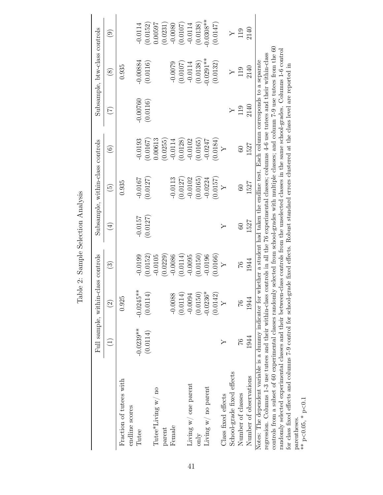<span id="page-43-0"></span>

|                                                                                                                                                                                                                                                                                                           |                                   | Full sample, within-class controls |                       |                                                                                                                                                                                     | Subsample, within-class controls |                     |                        | Subsample, btw-class controls |                          |
|-----------------------------------------------------------------------------------------------------------------------------------------------------------------------------------------------------------------------------------------------------------------------------------------------------------|-----------------------------------|------------------------------------|-----------------------|-------------------------------------------------------------------------------------------------------------------------------------------------------------------------------------|----------------------------------|---------------------|------------------------|-------------------------------|--------------------------|
|                                                                                                                                                                                                                                                                                                           | $\begin{pmatrix} 1 \end{pmatrix}$ | $\widehat{\Omega}$                 | ව                     | $\left( \frac{4}{3} \right)$                                                                                                                                                        | $\widetilde{G}$                  | $\widehat{\odot}$   | $\widetilde{\Xi}$      | $\circledS$                   | $\widehat{\mathfrak{S}}$ |
| Fraction of tutees with<br>endline scores                                                                                                                                                                                                                                                                 |                                   | 0.925                              |                       |                                                                                                                                                                                     | 0.935                            |                     |                        | 0.935                         |                          |
| Tutee                                                                                                                                                                                                                                                                                                     | $-0.0239**$<br>(0.0114)           | $-0.0245***$<br>(0.0114)           | (0.0152)<br>$-0.0199$ | $-0.0157$<br>(0.0127)                                                                                                                                                               | (0.0127)<br>$-0.0167$            | $-0.0193$<br>0.0167 | $-0.00760$<br>(0.0116) | $-0.00884$<br>(0.0116)        | (0.0152)<br>$-0.0114$    |
| $\operatorname{Tutee}\nolimits^{\ast}\operatorname{Living}$ w/ no<br>parent                                                                                                                                                                                                                               |                                   |                                    | (0.0229)<br>$-0.0105$ |                                                                                                                                                                                     |                                  | 0.00613<br>(0.0255) |                        |                               | 1.00597<br>(0.0231)      |
| Female                                                                                                                                                                                                                                                                                                    |                                   | $-0.0088$                          | $-0.0086$             |                                                                                                                                                                                     | $-0.0113$                        | $-0.0114$           |                        | $-0.0079$                     | $-0.0080$                |
|                                                                                                                                                                                                                                                                                                           |                                   | (0.0114)                           | (0.0114)              |                                                                                                                                                                                     | (0.0127)                         | (0.0128)            |                        | (0.0107)                      | (0.0107)                 |
| Living $\le/$ one parent                                                                                                                                                                                                                                                                                  |                                   | $-0.0094$                          | 0.0095                |                                                                                                                                                                                     | $-0.0102$                        | $-0.0102$           |                        | $-0.0114$                     | $-0.0114$                |
| only                                                                                                                                                                                                                                                                                                      |                                   | (0.0150)                           | (0.0150)              |                                                                                                                                                                                     | (0.0165)                         | (0.0165)            |                        | (0.0138)                      | (0.0138)                 |
| Living $w/$ no parent                                                                                                                                                                                                                                                                                     |                                   | ⋇<br>$-0.0236$                     | $-0.0196$             |                                                                                                                                                                                     | $-0.0224$                        | $-0.0247$           |                        | $0.0291**$                    | $-0.0308**$              |
|                                                                                                                                                                                                                                                                                                           |                                   | (0.0142                            | (0.0166)              |                                                                                                                                                                                     | (0.0157)                         | (0.0184)            |                        | (0.0132)                      | (0.0147)                 |
| Class fixed effects                                                                                                                                                                                                                                                                                       |                                   |                                    | $\overline{Y}$        | Υ                                                                                                                                                                                   | $\overline{Y}$                   |                     |                        |                               |                          |
| School-grade fixed effects                                                                                                                                                                                                                                                                                |                                   |                                    |                       |                                                                                                                                                                                     |                                  |                     |                        |                               |                          |
| Number of classes                                                                                                                                                                                                                                                                                         | 92                                | $\frac{9}{2}$                      | 26                    | $60\,$                                                                                                                                                                              | $60\,$                           | 60                  | 119                    | 119                           | 119                      |
| Number of observations                                                                                                                                                                                                                                                                                    | 1944                              | 1944                               | 1944                  | 1527                                                                                                                                                                                | 1527                             | 1527                | 2140                   | 2140                          | 2140                     |
| regression. Columns 1-3 use tutees and their within-class<br>Notes: The dependent variable is a dummy indicator for                                                                                                                                                                                       |                                   |                                    |                       | controls in all the 76 experimental classes; columns $4-6$ use tutees and their within-class<br>whether a student had taken the endline test. Each column corresponds to a separate |                                  |                     |                        |                               |                          |
| controls from a subset of 60 experimental classes randomly selected from school-grades with multiple classes; and column $7-9$ use tutees from the 60                                                                                                                                                     |                                   |                                    |                       |                                                                                                                                                                                     |                                  |                     |                        |                               |                          |
| randomly selected experimental classes and their between-class controls from the unselected classes in the same school-grades. Columns 1-6 control<br>for class fixed effects and columns 7-9 control for school-grade fixed effects. Robust standard errors clustered at the class level are reported in |                                   |                                    |                       |                                                                                                                                                                                     |                                  |                     |                        |                               |                          |
| parentheses                                                                                                                                                                                                                                                                                               |                                   |                                    |                       |                                                                                                                                                                                     |                                  |                     |                        |                               |                          |
| ** $p<0.05$ , * $p<0.1$                                                                                                                                                                                                                                                                                   |                                   |                                    |                       |                                                                                                                                                                                     |                                  |                     |                        |                               |                          |

Table 2: Sample Selection Analysis Table 2: Sample Selection Analysis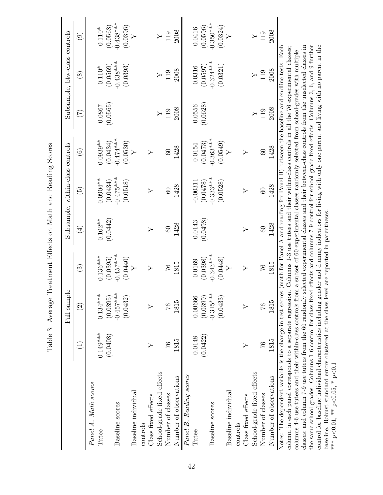|                                                                                                                                                                                                                                                                                                                           |               | Full sample       |                        |             | Subsample, within-class controls |                   |               | Subsample, btw-class controls |                           |
|---------------------------------------------------------------------------------------------------------------------------------------------------------------------------------------------------------------------------------------------------------------------------------------------------------------------------|---------------|-------------------|------------------------|-------------|----------------------------------|-------------------|---------------|-------------------------------|---------------------------|
|                                                                                                                                                                                                                                                                                                                           |               | $\widehat{\odot}$ | $\widehat{\mathbb{G}}$ | $\bigoplus$ | $\widetilde{E}$                  | $\widehat{\odot}$ | $(\zeta)$     | $\circled{s}$                 | $\widehat{\mathbf{e}}$    |
| Panel A. Math scores                                                                                                                                                                                                                                                                                                      | $0.149***$    | $0.134***$        | $0.136***$             | $0.102**$   | $0.0904**$                       | $0.0939**$        | 0.0867        | $0.110^{*}$                   | $0.110^{*}$               |
| Tutee                                                                                                                                                                                                                                                                                                                     | (0.0408)      | (0.0395)          | (0.0395)               | (0.0442)    | (0.0434)                         | (0.0434)          | (0.0565)      | (0.0569)                      | (0.0568)                  |
| Baseline scores                                                                                                                                                                                                                                                                                                           |               | $-0.457***$       | $-0.457***$            |             | $-0.475***$                      | $-0.474***$       |               | $-0.438***$                   | $-0.438***$               |
| Baseline individual                                                                                                                                                                                                                                                                                                       |               | (0.0432)          | (0.0440)               |             | (0.0518)                         | (0.0530)          |               | (0.0393)                      | (0.0396)<br>$\rightarrow$ |
| controls                                                                                                                                                                                                                                                                                                                  |               |                   |                        |             |                                  |                   |               |                               |                           |
| Class fixed effects                                                                                                                                                                                                                                                                                                       | ≻             | ≻                 | Υ                      | Υ           | Υ                                | $\succ$           |               |                               |                           |
| School-grade fixed effects                                                                                                                                                                                                                                                                                                |               |                   |                        |             |                                  |                   | $\rightarrow$ | $\rightarrow$                 | $\succ$                   |
| Number of classes                                                                                                                                                                                                                                                                                                         | $\mathcal{Z}$ | 27                | $\frac{9}{1}$          | $\infty$    | 60                               | 60                | 119           | 119                           | 119                       |
| Number of observations                                                                                                                                                                                                                                                                                                    | 1815          | 1815              | 1815                   | 1428        | 1428                             | 1428              | 2008          | 2008                          | 2008                      |
| Panel B. Reading scores                                                                                                                                                                                                                                                                                                   |               |                   |                        |             |                                  |                   |               |                               |                           |
| Tutee                                                                                                                                                                                                                                                                                                                     | 0.0148        | 0.00666           | 0.0169                 | 0.0143      | $-0.00311$                       | 0.0154            | 0.0556        | 0.0316                        | 0.0416                    |
|                                                                                                                                                                                                                                                                                                                           | (0.0422)      | (0.0399           | (0.0398)               | (0.0498)    | (0.0478)                         | (0.0473)          | (0.0628)      | (0.0597)                      | (0.0596)                  |
| Baseline scores                                                                                                                                                                                                                                                                                                           |               | $-0.315***$       | $-0.343***$            |             | $-0.333***$                      | $-0.363***$       |               | $-0.324***$                   | $-0.350***$               |
|                                                                                                                                                                                                                                                                                                                           |               | (0.0433)          | (0.0448)               |             | (0.0528)                         | (0.0549)          |               | (0.0321)                      | (0.0324)                  |
| Baseline individual                                                                                                                                                                                                                                                                                                       |               |                   | Υ                      |             |                                  | $\succ$           |               |                               | ≻                         |
| controls                                                                                                                                                                                                                                                                                                                  |               |                   |                        |             |                                  |                   |               |                               |                           |
| Class fixed effects                                                                                                                                                                                                                                                                                                       | ≻             | ≻                 | Υ                      | ≻           | Υ                                | Υ                 |               |                               |                           |
| School-grade fixed effects                                                                                                                                                                                                                                                                                                |               |                   |                        |             |                                  |                   |               | $\rightarrow$                 |                           |
| Number of classes                                                                                                                                                                                                                                                                                                         | $\frac{9}{1}$ | 76                | $\frac{9}{1}$          | 60          | $\odot$                          | $60\,$            | 119           | 119                           | 119                       |
| Number of observations                                                                                                                                                                                                                                                                                                    | 1815          | 1815              | 1815                   | 1428        | 1428                             | 1428              | 2008          | 2008                          | 2008                      |
| Notes: The dependent variable is the change in test scores (math for Panel A and reading for Panel $\overline{B}$ ) between the baseline and endline tests. Each<br>column in each panel corresponds to a separate regression. Columns 1-3 use tutees and their within-class controls in all the 76 experimental classes; |               |                   |                        |             |                                  |                   |               |                               |                           |
| columns 4-6 use tutees and their within-class controls from a subset of 60 experimental classes randomly selected from school-grades with multiple                                                                                                                                                                        |               |                   |                        |             |                                  |                   |               |                               |                           |
| classes; and column 7-9 use tutees from the 60 randomly selected experimental classes and their between-class controls from the unselected classes in                                                                                                                                                                     |               |                   |                        |             |                                  |                   |               |                               |                           |
| control for baseline individual characteristics including gender and dummy indicators for living with only one parent and living with no parent in the<br>the same school-grades. Columns 1-6 control for class fixed effects and columns 7-9 control for school-grade fixed effects. Columns 3, 6, and 9 further         |               |                   |                        |             |                                  |                   |               |                               |                           |
| baseline. Robust standard errors clustered at the class level are reported in parentheses.                                                                                                                                                                                                                                |               |                   |                        |             |                                  |                   |               |                               |                           |
| *** $p<0.01$ , ** $p<0.05$ , * $p<0.1$                                                                                                                                                                                                                                                                                    |               |                   |                        |             |                                  |                   |               |                               |                           |

<span id="page-44-0"></span>\*\*\* p<0.01, \*\* p<0.05, \* p<0.1

Table 3: Average Treatment Effects on Math and Reading Scores Table 3: Average Treatment Effects on Math and Reading Scores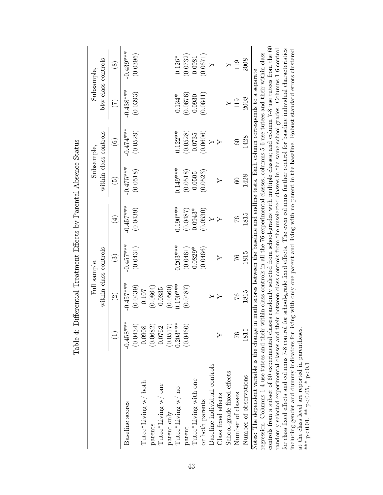|                                                                                                                                                       |                   | Full sample.          | within-class controls |                              |                                                                                                          | within-class controls<br>Subsample. | Subsample.              | btw-class controls |
|-------------------------------------------------------------------------------------------------------------------------------------------------------|-------------------|-----------------------|-----------------------|------------------------------|----------------------------------------------------------------------------------------------------------|-------------------------------------|-------------------------|--------------------|
|                                                                                                                                                       | $\bigcup$         | $\widehat{\Omega}$    | $\odot$               | $\left( \frac{4}{2} \right)$ | $\widetilde{\Theta}$                                                                                     | $\widehat{\circ}$                   | $(\tilde{\mathcal{L}})$ | $\circledast$      |
| Baseline scores                                                                                                                                       | $-0.458***$       | $-0.457***$           | $-0.457***$           | $-0.457***$                  | $-0.475***$                                                                                              | $-0.474***$                         | $-0.438***$             | $-0.439***$        |
| $\operatorname{{\sf Tutee}}^*$ Living w/ both                                                                                                         | (0.0434<br>0.0908 | (0.0439)<br>$0.107\,$ | (0.0431)              | (0.0439)                     | (0.0518)                                                                                                 | (0.0529)                            | (0.0393)                | (0.0396)           |
| parents                                                                                                                                               | (0.0682)          | (0.0864)              |                       |                              |                                                                                                          |                                     |                         |                    |
| Tutee*Living $w/$ one                                                                                                                                 | 0.0762            | 0.0835                |                       |                              |                                                                                                          |                                     |                         |                    |
| parent only                                                                                                                                           | (0.0517           | (0.0560)              |                       |                              |                                                                                                          |                                     |                         |                    |
| $\operatorname{{\mathtt{Tutee}}}^*{\mathtt{Living}}$ w/ no                                                                                            | $0.203***$        | $0.190***$            | $0.203***$            | $0.190***$                   | $0.149***$                                                                                               | $0.122***$                          | $0.134*$                | $0.126*$           |
| parent                                                                                                                                                | (0.0460           | (0.0487)              | (0.0461)              | (0.0487)                     | (0.0518)                                                                                                 | (0.0528)                            | (0.0676)                | (0.0732)           |
| Tutee*Living with one                                                                                                                                 |                   |                       | $0.0829*$             | $0.0943*$                    | 0.0505                                                                                                   | 0.0735                              | 0.0930                  | 0.0981             |
| or both parents                                                                                                                                       |                   |                       | (0.0466)              | (0.0530)                     | (0.0523)                                                                                                 | (0.0606)                            | (0.0641)                | (0.0671)           |
| Baseline individual controls                                                                                                                          |                   | $\triangleright$      |                       |                              |                                                                                                          |                                     |                         |                    |
| Class fixed effects                                                                                                                                   |                   |                       | Υ                     |                              |                                                                                                          |                                     |                         |                    |
| School-grade fixed effects                                                                                                                            |                   |                       |                       |                              |                                                                                                          |                                     |                         |                    |
| Number of classes                                                                                                                                     | $\frac{9}{1}$     | 97                    | 97                    | $\frac{3}{4}$                | $\overline{60}$                                                                                          | $60\,$                              | 119                     | 119                |
| Number of observations                                                                                                                                | 1815              | 1815                  | 1815                  | 1815                         | 1428                                                                                                     | 1428                                | 2008                    | 2008               |
| Notes: The dependent variable is the change in math scores between the baseline and endline tests. Each column corresponds to a separate              |                   |                       |                       |                              |                                                                                                          |                                     |                         |                    |
| regression. Columns 1-4 use tutees and their within-class controls in all the 76 experimental classes; columns 5-6 use tutees and their within-class  |                   |                       |                       |                              |                                                                                                          |                                     |                         |                    |
| controls from a subset of 60 experimental classes randomly selected from school-grades with multiple classes; and column $7-8$ use tutees from the 60 |                   |                       |                       |                              |                                                                                                          |                                     |                         |                    |
| randomly selected experimental classes and their between-class controls from the unselected classes in the same school-grades. Columns 1-6 control    |                   |                       |                       |                              |                                                                                                          |                                     |                         |                    |
| for class fixed effects and columns 7-8 control                                                                                                       |                   |                       |                       |                              | for school-grade fixed effects. The even columns further control for baseline individual characteristics |                                     |                         |                    |

including gender and dummy indicators for living with only one parent and living with no parent in the baseline. Robust standard errors clustered

at the class level are reported in parentheses.

<span id="page-45-0"></span>م<br>\* \*<br>\*

 $< 0.01,$  \*\* p.

 $<$  0.05,  $*$  p $<$  0.1

Table 4: Differential Treatment Effects by Parental Absence Status Table 4: Differential Treatment Effects by Parental Absence Status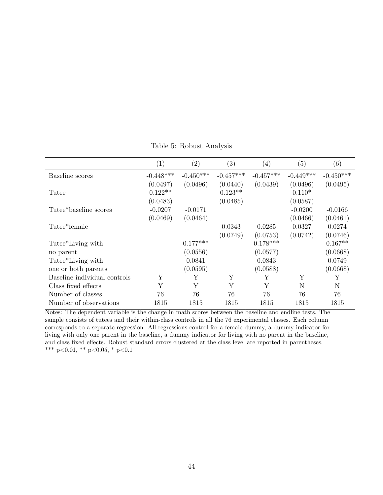<span id="page-46-0"></span>

|                              | $\left( 1\right)$ | $\left( 2\right)$ | $\left( 3\right)$ | $\left( 4\right)$ | (5)         | (6)         |
|------------------------------|-------------------|-------------------|-------------------|-------------------|-------------|-------------|
| Baseline scores              | $-0.448***$       | $-0.450***$       | $-0.457***$       | $-0.457***$       | $-0.449***$ | $-0.450***$ |
|                              | (0.0497)          | (0.0496)          | (0.0440)          | (0.0439)          | (0.0496)    | (0.0495)    |
| Tutee                        | $0.122**$         |                   | $0.123**$         |                   | $0.110*$    |             |
|                              | (0.0483)          |                   | (0.0485)          |                   | (0.0587)    |             |
| Tutee*baseline scores        | $-0.0207$         | $-0.0171$         |                   |                   | $-0.0200$   | $-0.0166$   |
|                              | (0.0469)          | (0.0464)          |                   |                   | (0.0466)    | (0.0461)    |
| Tutee*female                 |                   |                   | 0.0343            | 0.0285            | 0.0327      | 0.0274      |
|                              |                   |                   | (0.0749)          | (0.0753)          | (0.0742)    | (0.0746)    |
| Tutee*Living with            |                   | $0.177***$        |                   | $0.178***$        |             | $0.167**$   |
| no parent                    |                   | (0.0556)          |                   | (0.0577)          |             | (0.0668)    |
| Tutee*Living with            |                   | 0.0841            |                   | 0.0843            |             | 0.0749      |
| one or both parents          |                   | (0.0595)          |                   | (0.0588)          |             | (0.0668)    |
| Baseline individual controls | Y                 | Y                 | Y                 | Υ                 | Y           | Y           |
| Class fixed effects          | Y                 | Y                 | Y                 | Y                 | N           | N           |
| Number of classes            | 76                | 76                | 76                | 76                | 76          | 76          |
| Number of observations       | 1815              | 1815              | 1815              | 1815              | 1815        | 1815        |

Table 5: Robust Analysis

Notes: The dependent variable is the change in math scores between the baseline and endline tests. The sample consists of tutees and their within-class controls in all the 76 experimental classes. Each column corresponds to a separate regression. All regressions control for a female dummy, a dummy indicator for living with only one parent in the baseline, a dummy indicator for living with no parent in the baseline, and class fixed effects. Robust standard errors clustered at the class level are reported in parentheses. \*\*\* p<0.01, \*\* p<0.05, \* p<0.1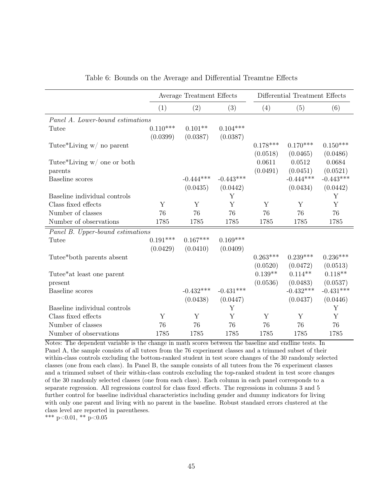<span id="page-47-0"></span>

|                                  |            | Average Treatment Effects |             |            | Differential Treatment Effects |             |
|----------------------------------|------------|---------------------------|-------------|------------|--------------------------------|-------------|
|                                  | (1)        | (2)                       | (3)         | (4)        | (5)                            | (6)         |
| Panel A. Lower-bound estimations |            |                           |             |            |                                |             |
| Tutee                            | $0.110***$ | $0.101**$                 | $0.104***$  |            |                                |             |
|                                  | (0.0399)   | (0.0387)                  | (0.0387)    |            |                                |             |
| Tutee*Living $w/$ no parent      |            |                           |             | $0.178***$ | $0.170***$                     | $0.150***$  |
|                                  |            |                           |             | (0.0518)   | (0.0465)                       | (0.0486)    |
| Tutee*Living $w/$ one or both    |            |                           |             | 0.0611     | 0.0512                         | 0.0684      |
| parents                          |            |                           |             | (0.0491)   | (0.0451)                       | (0.0521)    |
| Baseline scores                  |            | $-0.444***$               | $-0.443***$ |            | $-0.444***$                    | $-0.443***$ |
|                                  |            | (0.0435)                  | (0.0442)    |            | (0.0434)                       | (0.0442)    |
| Baseline individual controls     |            |                           | Y           |            |                                | Y           |
| Class fixed effects              | Y          | Y                         | Y           | Y          | Y                              | Y           |
| Number of classes                | 76         | 76                        | 76          | 76         | 76                             | 76          |
| Number of observations           | 1785       | 1785                      | 1785        | 1785       | 1785                           | 1785        |
| Panel B. Upper-bound estimations |            |                           |             |            |                                |             |
| Tutee                            | $0.191***$ | $0.167***$                | $0.169***$  |            |                                |             |
|                                  | (0.0429)   | (0.0410)                  | (0.0409)    |            |                                |             |
| Tutee*both parents absent        |            |                           |             | $0.263***$ | $0.239***$                     | $0.236***$  |
|                                  |            |                           |             | (0.0520)   | (0.0472)                       | (0.0513)    |
| Tutee*at least one parent        |            |                           |             | $0.139**$  | $0.114**$                      | $0.118**$   |
| present                          |            |                           |             | (0.0536)   | (0.0483)                       | (0.0537)    |
| Baseline scores                  |            | $-0.432***$               | $-0.431***$ |            | $-0.432***$                    | $-0.431***$ |
|                                  |            | (0.0438)                  | (0.0447)    |            | (0.0437)                       | (0.0446)    |
| Baseline individual controls     |            |                           | Y           |            |                                | Y           |
| Class fixed effects              | Y          | Y                         | Y           | Y          | Y                              | Y           |
| Number of classes                | 76         | 76                        | 76          | 76         | 76                             | 76          |
| Number of observations           | 1785       | 1785                      | 1785        | 1785       | 1785                           | 1785        |

Table 6: Bounds on the Average and Differential Treamtne Effects

Notes: The dependent variable is the change in math scores between the baseline and endline tests. In Panel A, the sample consists of all tutees from the 76 experiment classes and a trimmed subset of their within-class controls excluding the bottom-ranked student in test score changes of the 30 randomly selected classes (one from each class). In Panel B, the sample consists of all tutees from the 76 experiment classes and a trimmed subset of their within-class controls excluding the top-ranked student in test score changes of the 30 randomly selected classes (one from each class). Each column in each panel corresponds to a separate regression. All regressions control for class fixed effects. The regressions in columns 3 and 5 further control for baseline individual characteristics including gender and dummy indicators for living with only one parent and living with no parent in the baseline. Robust standard errors clustered at the class level are reported in parentheses.

\*\*\* p<0.01, \*\* p<0.05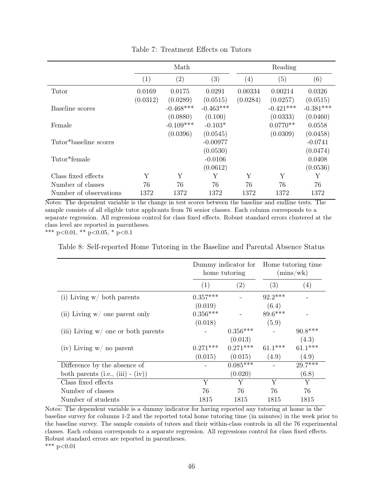<span id="page-48-0"></span>

|                        |          | Math              |             |                   | Reading     |             |
|------------------------|----------|-------------------|-------------|-------------------|-------------|-------------|
|                        | (1)      | $\left( 2\right)$ | (3)         | $\left( 4\right)$ | (5)         | (6)         |
| Tutor                  | 0.0169   | 0.0175            | 0.0291      | 0.00334           | 0.00214     | 0.0326      |
|                        | (0.0312) | (0.0289)          | (0.0515)    | (0.0284)          | (0.0257)    | (0.0515)    |
| Baseline scores        |          | $-0.468***$       | $-0.463***$ |                   | $-0.421***$ | $-0.381***$ |
|                        |          | (0.0880)          | (0.100)     |                   | (0.0333)    | (0.0460)    |
| Female                 |          | $-0.109***$       | $-0.103*$   |                   | $0.0770**$  | 0.0558      |
|                        |          | (0.0396)          | (0.0545)    |                   | (0.0309)    | (0.0458)    |
| Tutor*baseline scores  |          |                   | $-0.00977$  |                   |             | $-0.0741$   |
|                        |          |                   | (0.0530)    |                   |             | (0.0474)    |
| Tutor*female           |          |                   | $-0.0106$   |                   |             | 0.0408      |
|                        |          |                   | (0.0612)    |                   |             | (0.0536)    |
| Class fixed effects    | Y        | Υ                 | Y           | Υ                 | Y           | Y           |
| Number of classes      | 76       | 76                | 76          | 76                | 76          | 76          |
| Number of observations | 1372     | 1372              | 1372        | 1372              | 1372        | 1372        |

Table 7: Treatment Effects on Tutors

Notes: The dependent variable is the change in test scores between the baseline and endline tests. The sample consists of all eligible tutor applicants from 76 senior classes. Each column corresponds to a separate regression. All regressions control for class fixed effects. Robust standard errors clustered at the class level are reported in parentheses.

<span id="page-48-1"></span>\*\*\* p<0.01, \*\* p<0.05, \* p<0.1

Table 8: Self-reported Home Tutoring in the Baseline and Parental Absence Status

|                                       |            | Dummy indicator for Home tutoring time<br>home tutoring |           | (mins/wk)         |
|---------------------------------------|------------|---------------------------------------------------------|-----------|-------------------|
|                                       | (1)        | (2)                                                     | (3)       | $\left( 4\right)$ |
| (i) Living $w/$ both parents          | $0.357***$ |                                                         | $92.2***$ |                   |
|                                       | (0.019)    |                                                         | (6.4)     |                   |
| (ii) Living $w/$ one parent only      | $0.356***$ |                                                         | 89.6***   |                   |
|                                       | (0.018)    |                                                         | (5.9)     |                   |
| (iii) Living $w/$ one or both parents |            | $0.356***$                                              |           | $90.8***$         |
|                                       |            | (0.013)                                                 |           | (4.3)             |
| $(iv)$ Living w/ no parent            | $0.271***$ | $0.271***$                                              | $61.1***$ | $61.1***$         |
|                                       | (0.015)    | (0.015)                                                 | (4.9)     | (4.9)             |
| Difference by the absence of          |            | $0.085***$                                              |           | $29.7***$         |
| both parents (i.e., (iii) $-$ (iv))   |            | (0.020)                                                 |           | (6.8)             |
| Class fixed effects                   | Y          | Y                                                       | Y         | Y                 |
| Number of classes                     | 76         | 76                                                      | 76        | 76                |
| Number of students                    | 1815       | 1815                                                    | 1815      | 1815              |

Notes: The dependent variable is a dummy indicator for having reported any tutoring at home in the baseline survey for columns 1-2 and the reported total home tutoring time (in minutes) in the week prior to the baseline survey. The sample consists of tutees and their within-class controls in all the 76 experimental classes. Each column corresponds to a separate regression. All regressions control for class fixed effects. Robust standard errors are reported in parentheses. \*\*\*  $p<0.01$